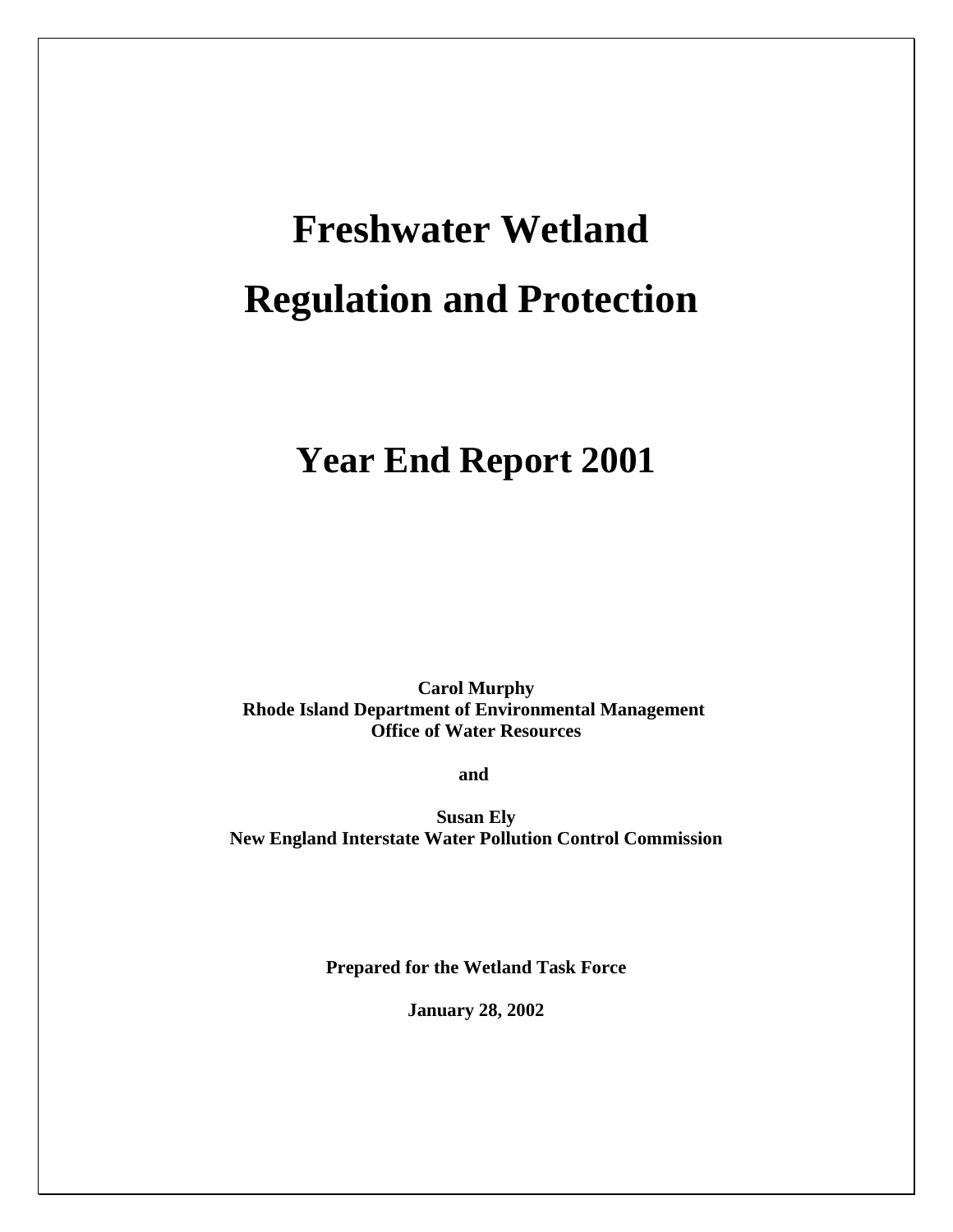# **Freshwater Wetland Regulation and Protection**

# **Year End Report 2001**

**Carol Murphy Rhode Island Department of Environmental Management Office of Water Resources**

**and** 

**Susan Ely New England Interstate Water Pollution Control Commission** 

**Prepared for the Wetland Task Force**

**January 28, 2002**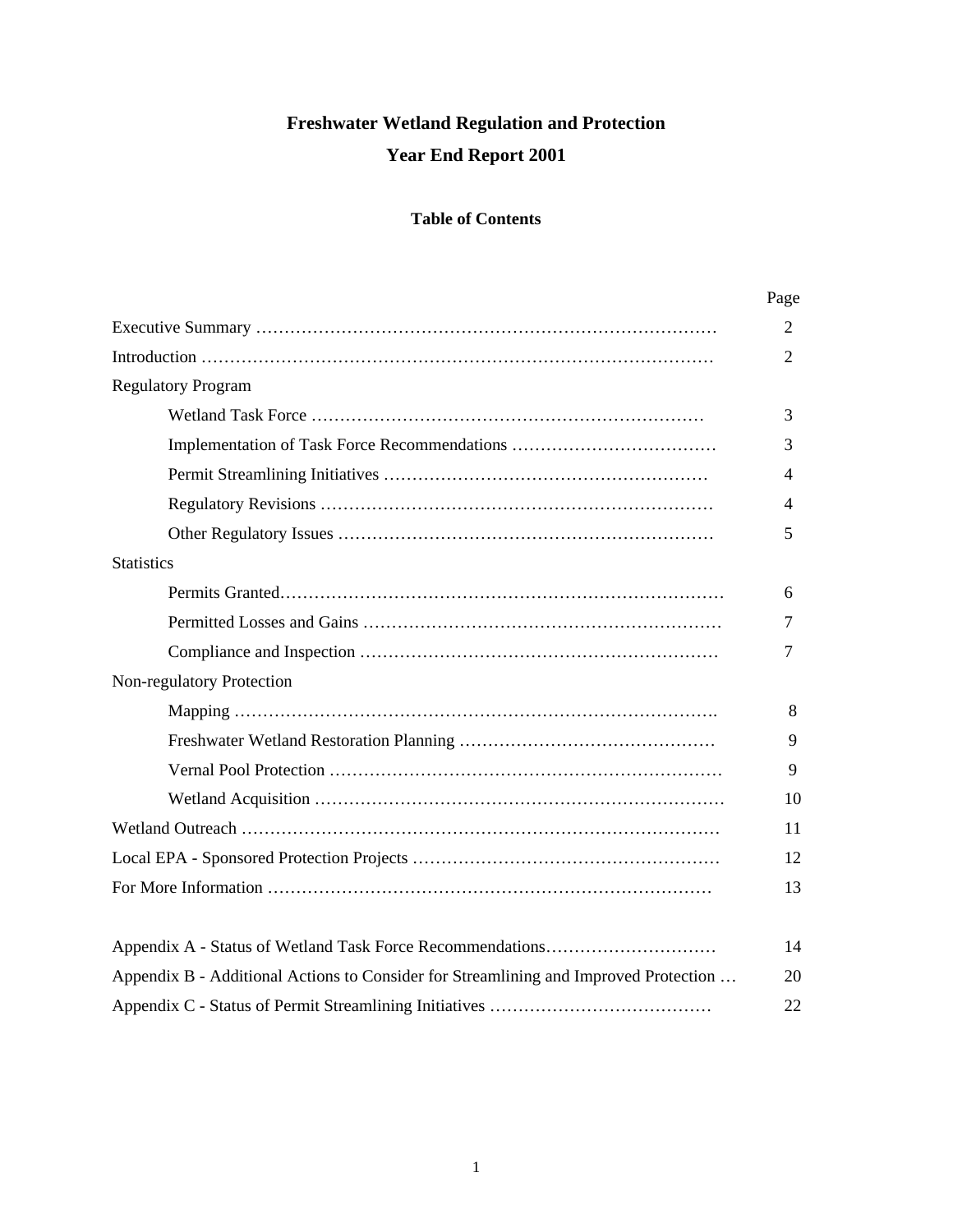# **Freshwater Wetland Regulation and Protection Year End Report 2001**

### **Table of Contents**

|                                                                                      | Page |
|--------------------------------------------------------------------------------------|------|
|                                                                                      | 2    |
|                                                                                      | 2    |
| <b>Regulatory Program</b>                                                            |      |
|                                                                                      | 3    |
|                                                                                      | 3    |
|                                                                                      | 4    |
|                                                                                      | 4    |
|                                                                                      | 5    |
| <b>Statistics</b>                                                                    |      |
|                                                                                      | 6    |
|                                                                                      | 7    |
|                                                                                      | 7    |
| Non-regulatory Protection                                                            |      |
|                                                                                      | 8    |
|                                                                                      | 9    |
|                                                                                      | 9    |
|                                                                                      | 10   |
|                                                                                      | 11   |
|                                                                                      | 12   |
|                                                                                      | 13   |
|                                                                                      |      |
|                                                                                      | 14   |
| Appendix B - Additional Actions to Consider for Streamlining and Improved Protection | 20   |
|                                                                                      | 22   |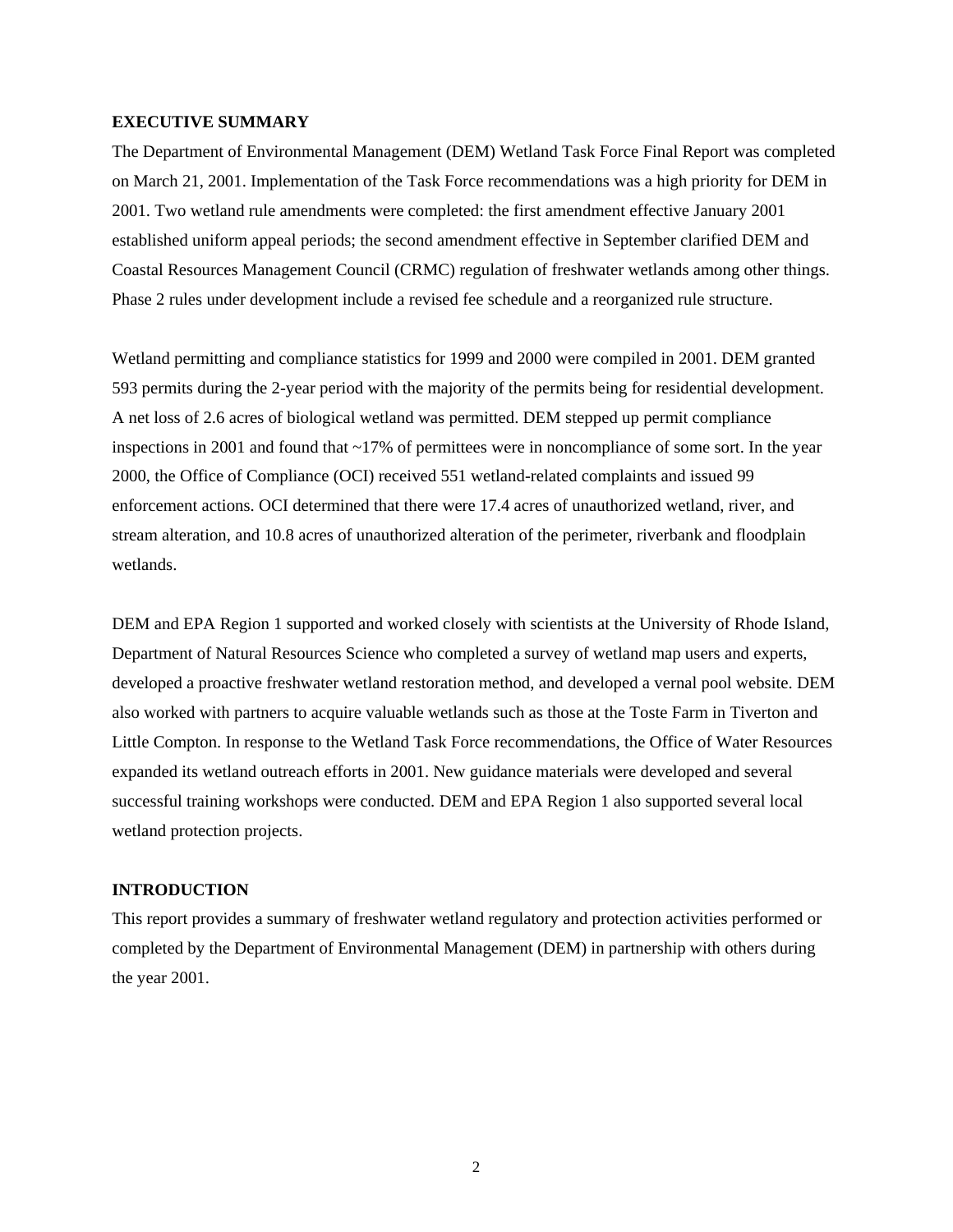#### **EXECUTIVE SUMMARY**

The Department of Environmental Management (DEM) Wetland Task Force Final Report was completed on March 21, 2001. Implementation of the Task Force recommendations was a high priority for DEM in 2001. Two wetland rule amendments were completed: the first amendment effective January 2001 established uniform appeal periods; the second amendment effective in September clarified DEM and Coastal Resources Management Council (CRMC) regulation of freshwater wetlands among other things. Phase 2 rules under development include a revised fee schedule and a reorganized rule structure.

Wetland permitting and compliance statistics for 1999 and 2000 were compiled in 2001. DEM granted 593 permits during the 2-year period with the majority of the permits being for residential development. A net loss of 2.6 acres of biological wetland was permitted. DEM stepped up permit compliance inspections in 2001 and found that  $\sim$ 17% of permittees were in noncompliance of some sort. In the year 2000, the Office of Compliance (OCI) received 551 wetland-related complaints and issued 99 enforcement actions. OCI determined that there were 17.4 acres of unauthorized wetland, river, and stream alteration, and 10.8 acres of unauthorized alteration of the perimeter, riverbank and floodplain wetlands.

DEM and EPA Region 1 supported and worked closely with scientists at the University of Rhode Island, Department of Natural Resources Science who completed a survey of wetland map users and experts, developed a proactive freshwater wetland restoration method, and developed a vernal pool website. DEM also worked with partners to acquire valuable wetlands such as those at the Toste Farm in Tiverton and Little Compton. In response to the Wetland Task Force recommendations, the Office of Water Resources expanded its wetland outreach efforts in 2001. New guidance materials were developed and several successful training workshops were conducted. DEM and EPA Region 1 also supported several local wetland protection projects.

#### **INTRODUCTION**

This report provides a summary of freshwater wetland regulatory and protection activities performed or completed by the Department of Environmental Management (DEM) in partnership with others during the year 2001.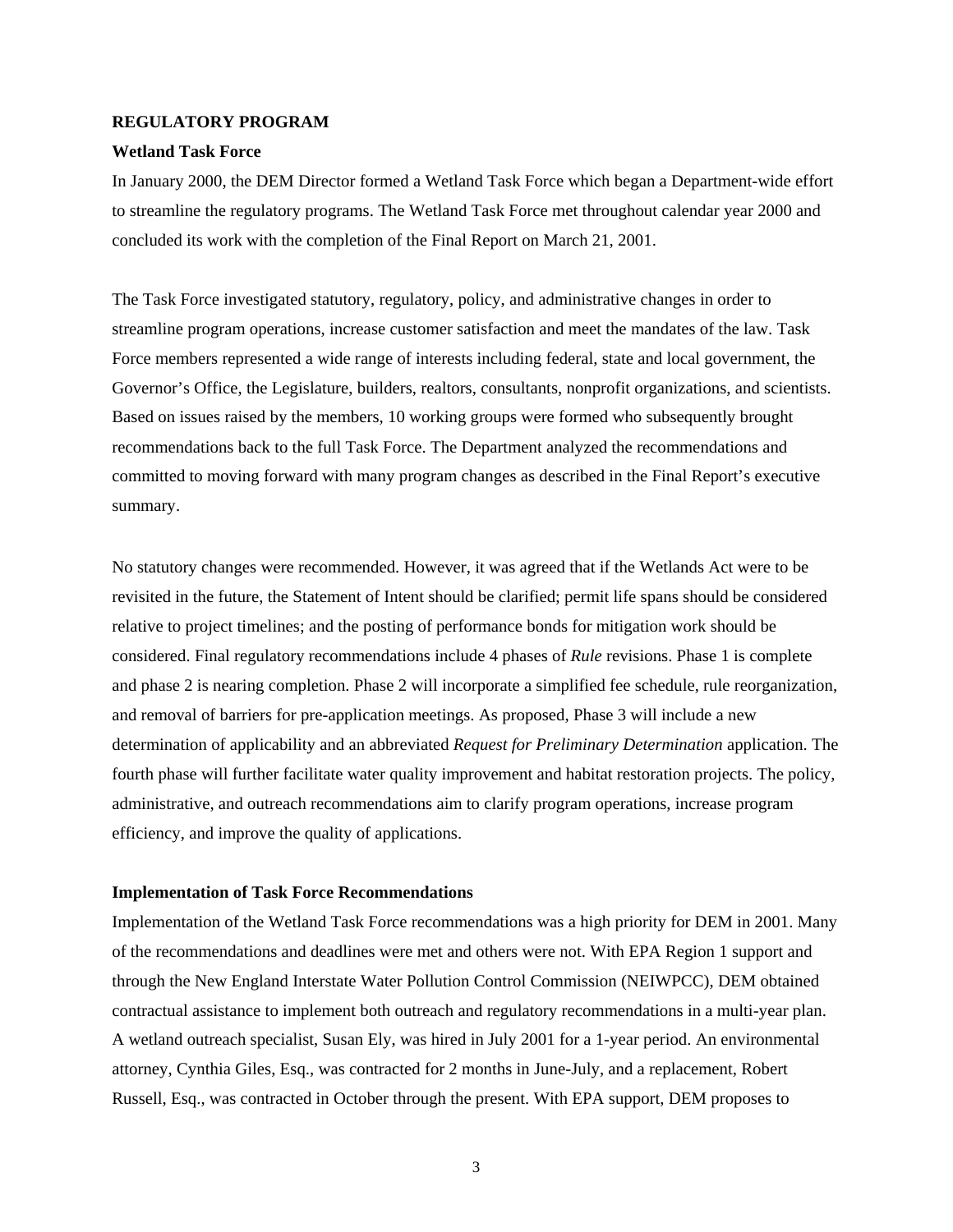#### **REGULATORY PROGRAM**

#### **Wetland Task Force**

In January 2000, the DEM Director formed a Wetland Task Force which began a Department-wide effort to streamline the regulatory programs. The Wetland Task Force met throughout calendar year 2000 and concluded its work with the completion of the Final Report on March 21, 2001.

The Task Force investigated statutory, regulatory, policy, and administrative changes in order to streamline program operations, increase customer satisfaction and meet the mandates of the law. Task Force members represented a wide range of interests including federal, state and local government, the Governor's Office, the Legislature, builders, realtors, consultants, nonprofit organizations, and scientists. Based on issues raised by the members, 10 working groups were formed who subsequently brought recommendations back to the full Task Force. The Department analyzed the recommendations and committed to moving forward with many program changes as described in the Final Report's executive summary.

No statutory changes were recommended. However, it was agreed that if the Wetlands Act were to be revisited in the future, the Statement of Intent should be clarified; permit life spans should be considered relative to project timelines; and the posting of performance bonds for mitigation work should be considered. Final regulatory recommendations include 4 phases of *Rule* revisions. Phase 1 is complete and phase 2 is nearing completion. Phase 2 will incorporate a simplified fee schedule, rule reorganization, and removal of barriers for pre-application meetings. As proposed, Phase 3 will include a new determination of applicability and an abbreviated *Request for Preliminary Determination* application. The fourth phase will further facilitate water quality improvement and habitat restoration projects. The policy, administrative, and outreach recommendations aim to clarify program operations, increase program efficiency, and improve the quality of applications.

#### **Implementation of Task Force Recommendations**

Implementation of the Wetland Task Force recommendations was a high priority for DEM in 2001. Many of the recommendations and deadlines were met and others were not. With EPA Region 1 support and through the New England Interstate Water Pollution Control Commission (NEIWPCC), DEM obtained contractual assistance to implement both outreach and regulatory recommendations in a multi-year plan. A wetland outreach specialist, Susan Ely, was hired in July 2001 for a 1-year period. An environmental attorney, Cynthia Giles, Esq., was contracted for 2 months in June-July, and a replacement, Robert Russell, Esq., was contracted in October through the present. With EPA support, DEM proposes to

3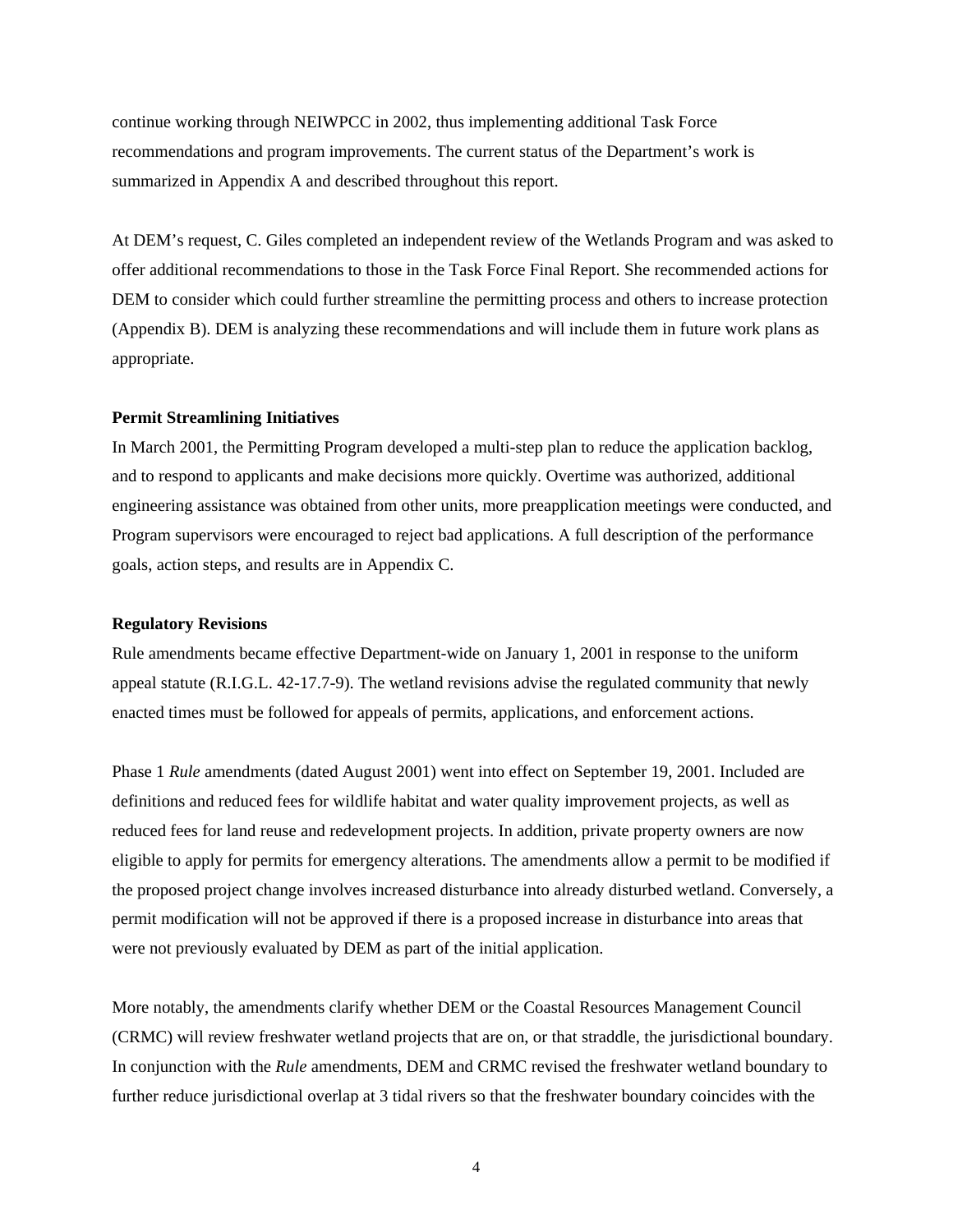continue working through NEIWPCC in 2002, thus implementing additional Task Force recommendations and program improvements. The current status of the Department's work is summarized in Appendix A and described throughout this report.

At DEM's request, C. Giles completed an independent review of the Wetlands Program and was asked to offer additional recommendations to those in the Task Force Final Report. She recommended actions for DEM to consider which could further streamline the permitting process and others to increase protection (Appendix B). DEM is analyzing these recommendations and will include them in future work plans as appropriate.

#### **Permit Streamlining Initiatives**

In March 2001, the Permitting Program developed a multi-step plan to reduce the application backlog, and to respond to applicants and make decisions more quickly. Overtime was authorized, additional engineering assistance was obtained from other units, more preapplication meetings were conducted, and Program supervisors were encouraged to reject bad applications. A full description of the performance goals, action steps, and results are in Appendix C.

#### **Regulatory Revisions**

Rule amendments became effective Department-wide on January 1, 2001 in response to the uniform appeal statute (R.I.G.L. 42-17.7-9). The wetland revisions advise the regulated community that newly enacted times must be followed for appeals of permits, applications, and enforcement actions.

Phase 1 *Rule* amendments (dated August 2001) went into effect on September 19, 2001. Included are definitions and reduced fees for wildlife habitat and water quality improvement projects, as well as reduced fees for land reuse and redevelopment projects. In addition, private property owners are now eligible to apply for permits for emergency alterations. The amendments allow a permit to be modified if the proposed project change involves increased disturbance into already disturbed wetland. Conversely, a permit modification will not be approved if there is a proposed increase in disturbance into areas that were not previously evaluated by DEM as part of the initial application.

More notably, the amendments clarify whether DEM or the Coastal Resources Management Council (CRMC) will review freshwater wetland projects that are on, or that straddle, the jurisdictional boundary. In conjunction with the *Rule* amendments, DEM and CRMC revised the freshwater wetland boundary to further reduce jurisdictional overlap at 3 tidal rivers so that the freshwater boundary coincides with the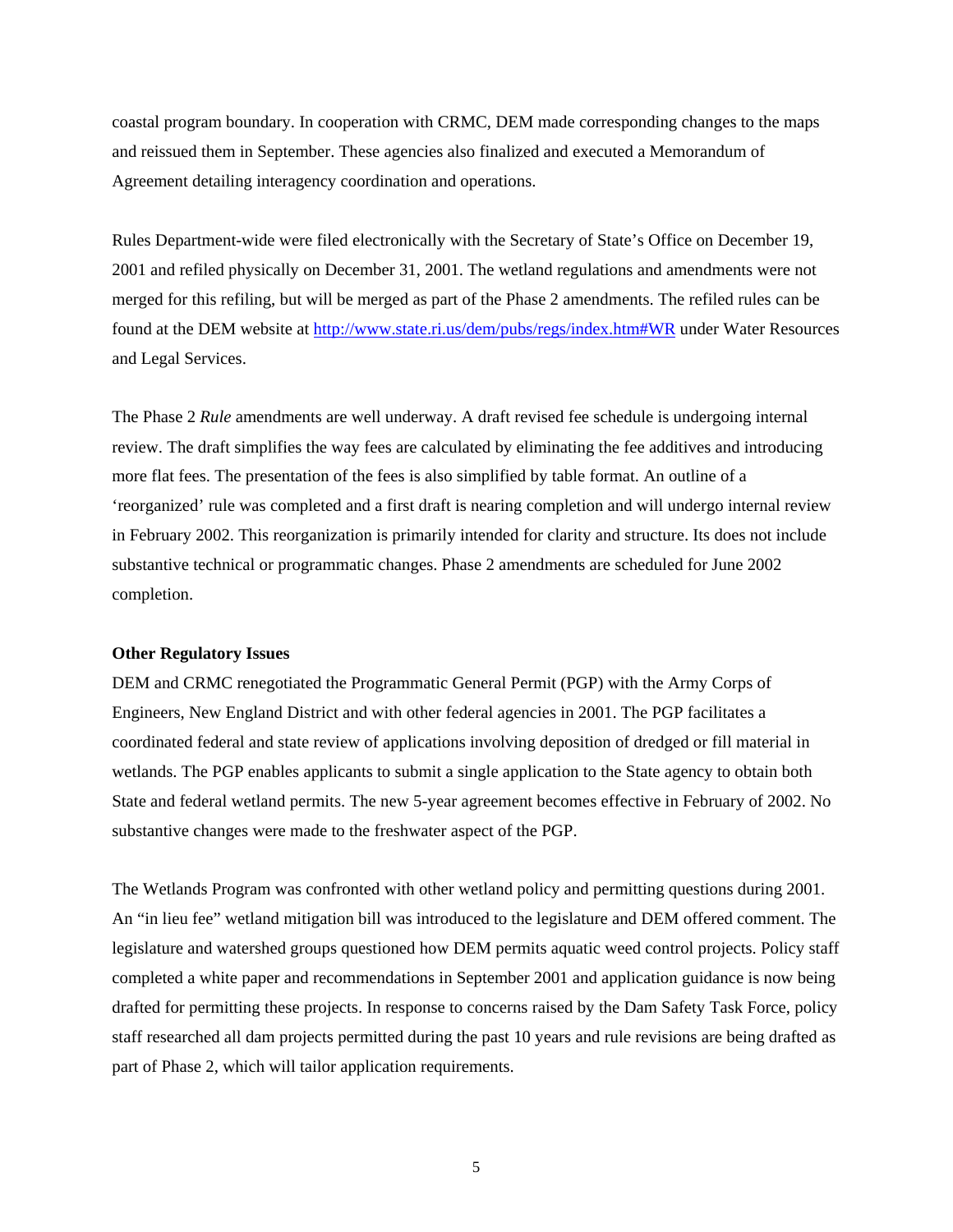coastal program boundary. In cooperation with CRMC, DEM made corresponding changes to the maps and reissued them in September. These agencies also finalized and executed a Memorandum of Agreement detailing interagency coordination and operations.

Rules Department-wide were filed electronically with the Secretary of State's Office on December 19, 2001 and refiled physically on December 31, 2001. The wetland regulations and amendments were not merged for this refiling, but will be merged as part of the Phase 2 amendments. The refiled rules can be found at the DEM website at <http://www.state.ri.us/dem/pubs/regs/index.htm#WR>under Water Resources and Legal Services.

The Phase 2 *Rule* amendments are well underway. A draft revised fee schedule is undergoing internal review. The draft simplifies the way fees are calculated by eliminating the fee additives and introducing more flat fees. The presentation of the fees is also simplified by table format. An outline of a 'reorganized' rule was completed and a first draft is nearing completion and will undergo internal review in February 2002. This reorganization is primarily intended for clarity and structure. Its does not include substantive technical or programmatic changes. Phase 2 amendments are scheduled for June 2002 completion.

#### **Other Regulatory Issues**

DEM and CRMC renegotiated the Programmatic General Permit (PGP) with the Army Corps of Engineers, New England District and with other federal agencies in 2001. The PGP facilitates a coordinated federal and state review of applications involving deposition of dredged or fill material in wetlands. The PGP enables applicants to submit a single application to the State agency to obtain both State and federal wetland permits. The new 5-year agreement becomes effective in February of 2002. No substantive changes were made to the freshwater aspect of the PGP.

The Wetlands Program was confronted with other wetland policy and permitting questions during 2001. An "in lieu fee" wetland mitigation bill was introduced to the legislature and DEM offered comment. The legislature and watershed groups questioned how DEM permits aquatic weed control projects. Policy staff completed a white paper and recommendations in September 2001 and application guidance is now being drafted for permitting these projects. In response to concerns raised by the Dam Safety Task Force, policy staff researched all dam projects permitted during the past 10 years and rule revisions are being drafted as part of Phase 2, which will tailor application requirements.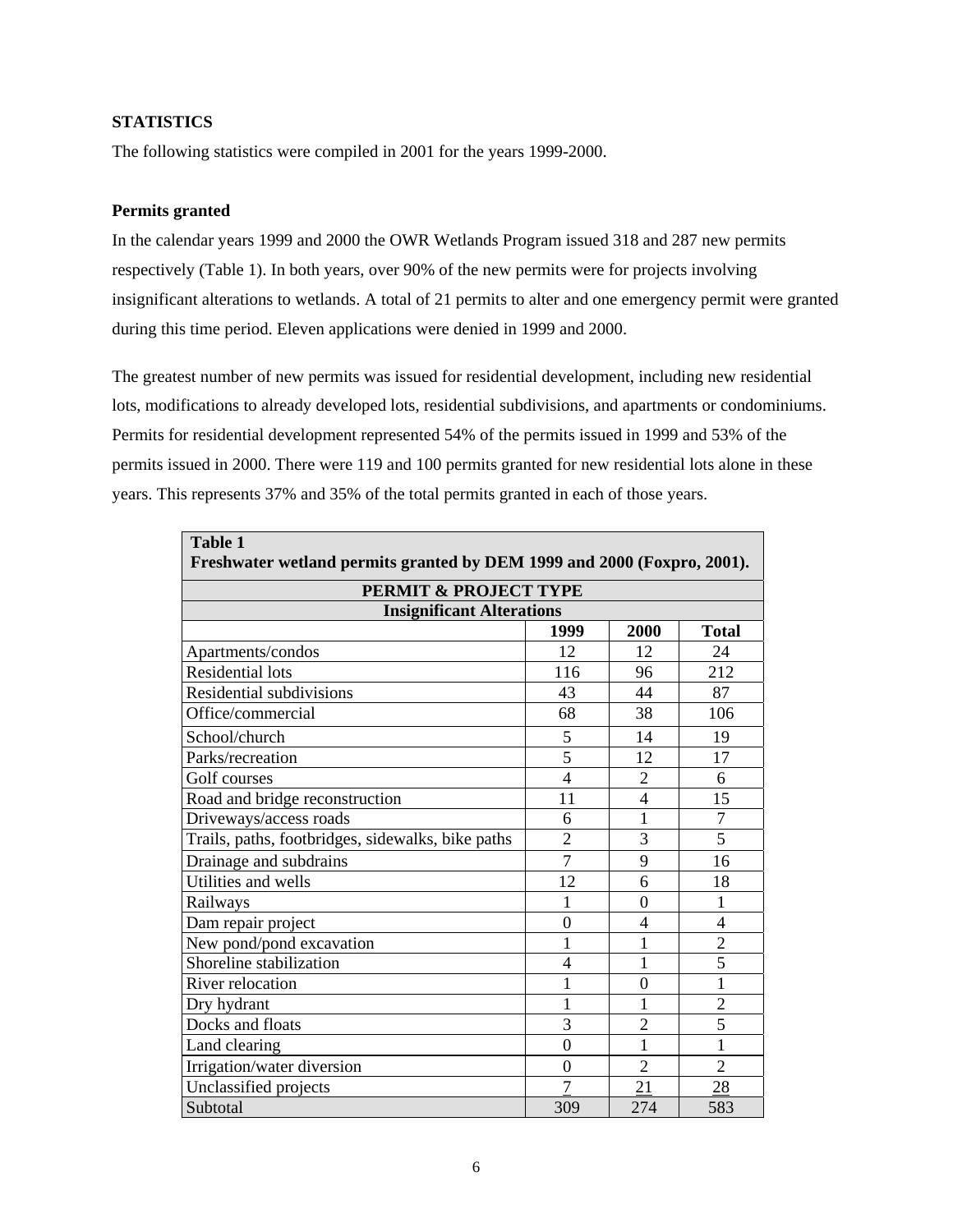#### **STATISTICS**

The following statistics were compiled in 2001 for the years 1999-2000.

#### **Permits granted**

In the calendar years 1999 and 2000 the OWR Wetlands Program issued 318 and 287 new permits respectively (Table 1). In both years, over 90% of the new permits were for projects involving insignificant alterations to wetlands. A total of 21 permits to alter and one emergency permit were granted during this time period. Eleven applications were denied in 1999 and 2000.

The greatest number of new permits was issued for residential development, including new residential lots, modifications to already developed lots, residential subdivisions, and apartments or condominiums. Permits for residential development represented 54% of the permits issued in 1999 and 53% of the permits issued in 2000. There were 119 and 100 permits granted for new residential lots alone in these years. This represents 37% and 35% of the total permits granted in each of those years.

| <b>Table 1</b><br>Freshwater wetland permits granted by DEM 1999 and 2000 (Foxpro, 2001). |                |                |                |
|-------------------------------------------------------------------------------------------|----------------|----------------|----------------|
| PERMIT & PROJECT TYPE                                                                     |                |                |                |
| <b>Insignificant Alterations</b>                                                          |                |                |                |
|                                                                                           | 1999           | 2000           | <b>Total</b>   |
| Apartments/condos                                                                         | 12             | 12             | 24             |
| <b>Residential lots</b>                                                                   | 116            | 96             | 212            |
| Residential subdivisions                                                                  | 43             | 44             | 87             |
| Office/commercial                                                                         | 68             | 38             | 106            |
| School/church                                                                             | 5              | 14             | 19             |
| Parks/recreation                                                                          | $\overline{5}$ | 12             | 17             |
| Golf courses                                                                              | $\overline{4}$ | $\overline{2}$ | 6              |
| Road and bridge reconstruction                                                            | 11             | $\overline{4}$ | 15             |
| Driveways/access roads                                                                    | 6              | 1              | $\overline{7}$ |
| Trails, paths, footbridges, sidewalks, bike paths                                         | $\overline{2}$ | 3              | 5              |
| Drainage and subdrains                                                                    | $\overline{7}$ | 9              | 16             |
| Utilities and wells                                                                       | 12             | 6              | 18             |
| Railways                                                                                  | 1              | $\theta$       | 1              |
| Dam repair project                                                                        | $\overline{0}$ | $\overline{4}$ | $\overline{4}$ |
| New pond/pond excavation                                                                  | 1              | 1              | $\overline{2}$ |
| Shoreline stabilization                                                                   | 4              | 1              | $\overline{5}$ |
| River relocation                                                                          | $\mathbf{1}$   | $\overline{0}$ | $\mathbf{1}$   |
| Dry hydrant                                                                               | $\mathbf{1}$   | 1              | $\overline{2}$ |
| Docks and floats                                                                          | 3              | $\overline{2}$ | $\overline{5}$ |
| Land clearing                                                                             | $\theta$       | 1              | $\mathbf{1}$   |
| Irrigation/water diversion                                                                | $\theta$       | $\overline{2}$ | $\overline{2}$ |
| Unclassified projects                                                                     | 7              | 21             | 28             |
| Subtotal                                                                                  | 309            | 274            | 583            |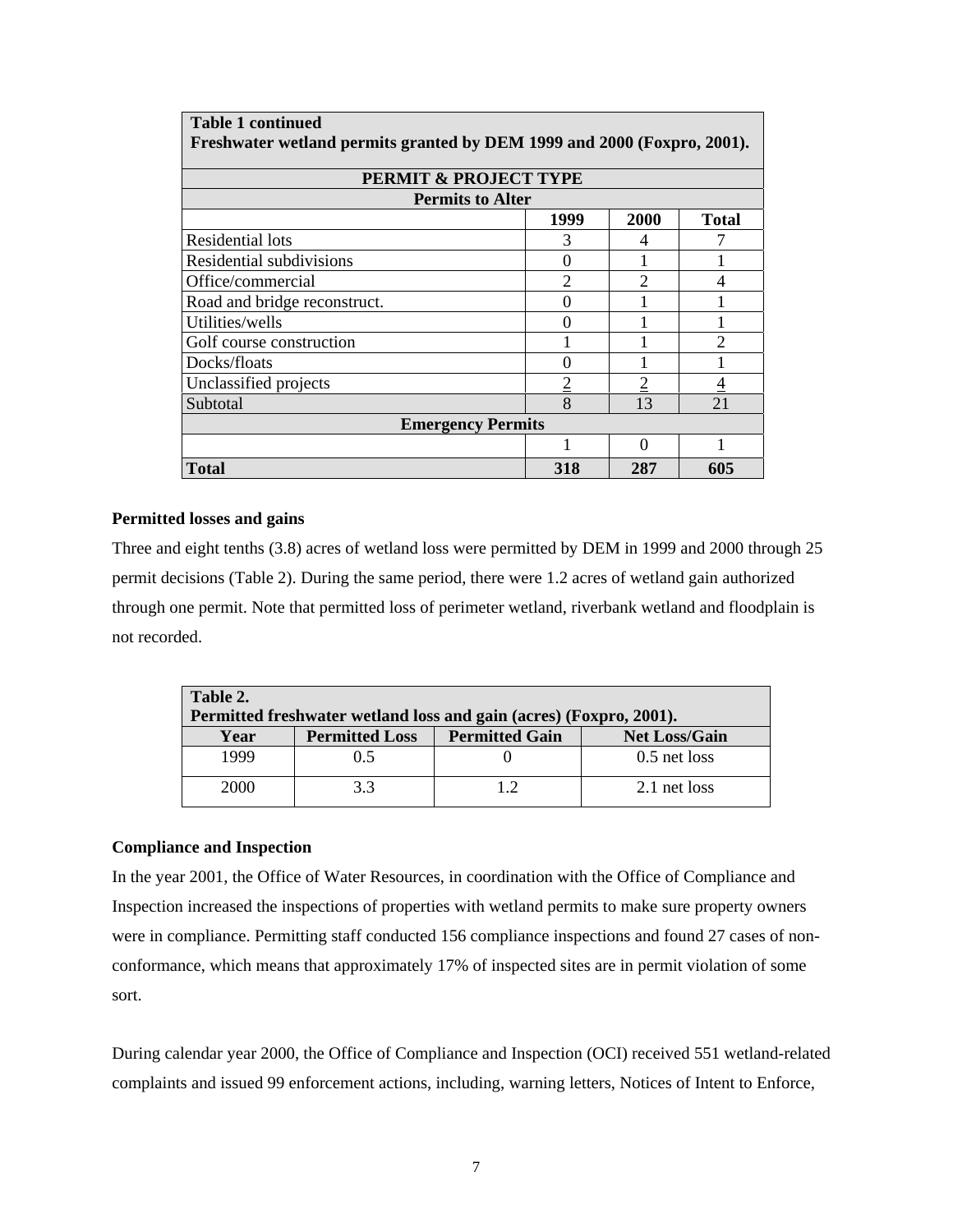| <b>Table 1 continued</b>                                                |                   |      |               |
|-------------------------------------------------------------------------|-------------------|------|---------------|
| Freshwater wetland permits granted by DEM 1999 and 2000 (Foxpro, 2001). |                   |      |               |
|                                                                         |                   |      |               |
| PERMIT & PROJECT TYPE                                                   |                   |      |               |
| <b>Permits to Alter</b>                                                 |                   |      |               |
|                                                                         | 1999              | 2000 | <b>Total</b>  |
| <b>Residential lots</b>                                                 | 3                 | 4    |               |
| Residential subdivisions                                                | $\mathbf{0}$      |      |               |
| Office/commercial                                                       | $\mathcal{D}$     | っ    |               |
| Road and bridge reconstruct.                                            | $\Omega$          |      |               |
| Utilities/wells                                                         | $\mathbf{\Omega}$ |      |               |
| Golf course construction                                                |                   |      | $\mathcal{D}$ |
| Docks/floats                                                            | 0                 |      |               |
| Unclassified projects                                                   |                   |      |               |
| Subtotal                                                                | 8                 | 13   | 21            |
| <b>Emergency Permits</b>                                                |                   |      |               |
|                                                                         |                   | Ω    |               |
| Total                                                                   | 318               | 287  | 605           |

#### **Permitted losses and gains**

Three and eight tenths (3.8) acres of wetland loss were permitted by DEM in 1999 and 2000 through 25 permit decisions (Table 2). During the same period, there were 1.2 acres of wetland gain authorized through one permit. Note that permitted loss of perimeter wetland, riverbank wetland and floodplain is not recorded.

| Table 2.                                                           |                       |                       |                      |  |  |
|--------------------------------------------------------------------|-----------------------|-----------------------|----------------------|--|--|
| Permitted freshwater wetland loss and gain (acres) (Foxpro, 2001). |                       |                       |                      |  |  |
| Year                                                               | <b>Permitted Loss</b> | <b>Permitted Gain</b> | <b>Net Loss/Gain</b> |  |  |
| 1999                                                               | 0.5                   |                       | $0.5$ net loss       |  |  |
| 2000                                                               | 3.3                   | 12                    | 2.1 net loss         |  |  |

#### **Compliance and Inspection**

In the year 2001, the Office of Water Resources, in coordination with the Office of Compliance and Inspection increased the inspections of properties with wetland permits to make sure property owners were in compliance. Permitting staff conducted 156 compliance inspections and found 27 cases of nonconformance, which means that approximately 17% of inspected sites are in permit violation of some sort.

During calendar year 2000, the Office of Compliance and Inspection (OCI) received 551 wetland-related complaints and issued 99 enforcement actions, including, warning letters, Notices of Intent to Enforce,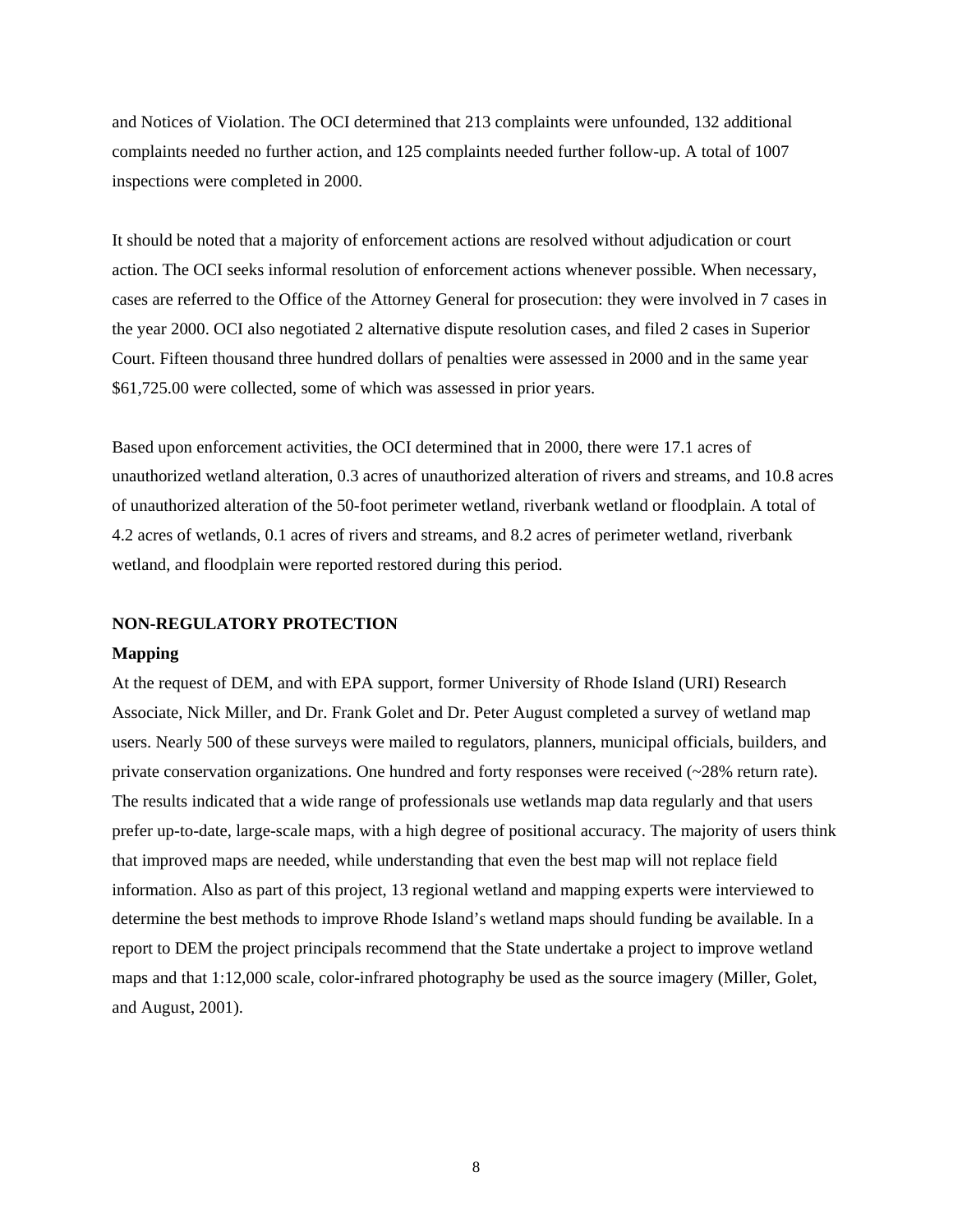and Notices of Violation. The OCI determined that 213 complaints were unfounded, 132 additional complaints needed no further action, and 125 complaints needed further follow-up. A total of 1007 inspections were completed in 2000.

It should be noted that a majority of enforcement actions are resolved without adjudication or court action. The OCI seeks informal resolution of enforcement actions whenever possible. When necessary, cases are referred to the Office of the Attorney General for prosecution: they were involved in 7 cases in the year 2000. OCI also negotiated 2 alternative dispute resolution cases, and filed 2 cases in Superior Court. Fifteen thousand three hundred dollars of penalties were assessed in 2000 and in the same year \$61,725.00 were collected, some of which was assessed in prior years.

Based upon enforcement activities, the OCI determined that in 2000, there were 17.1 acres of unauthorized wetland alteration, 0.3 acres of unauthorized alteration of rivers and streams, and 10.8 acres of unauthorized alteration of the 50-foot perimeter wetland, riverbank wetland or floodplain. A total of 4.2 acres of wetlands, 0.1 acres of rivers and streams, and 8.2 acres of perimeter wetland, riverbank wetland, and floodplain were reported restored during this period.

#### **NON-REGULATORY PROTECTION**

#### **Mapping**

At the request of DEM, and with EPA support, former University of Rhode Island (URI) Research Associate, Nick Miller, and Dr. Frank Golet and Dr. Peter August completed a survey of wetland map users. Nearly 500 of these surveys were mailed to regulators, planners, municipal officials, builders, and private conservation organizations. One hundred and forty responses were received (~28% return rate). The results indicated that a wide range of professionals use wetlands map data regularly and that users prefer up-to-date, large-scale maps, with a high degree of positional accuracy. The majority of users think that improved maps are needed, while understanding that even the best map will not replace field information. Also as part of this project, 13 regional wetland and mapping experts were interviewed to determine the best methods to improve Rhode Island's wetland maps should funding be available. In a report to DEM the project principals recommend that the State undertake a project to improve wetland maps and that 1:12,000 scale, color-infrared photography be used as the source imagery (Miller, Golet, and August, 2001).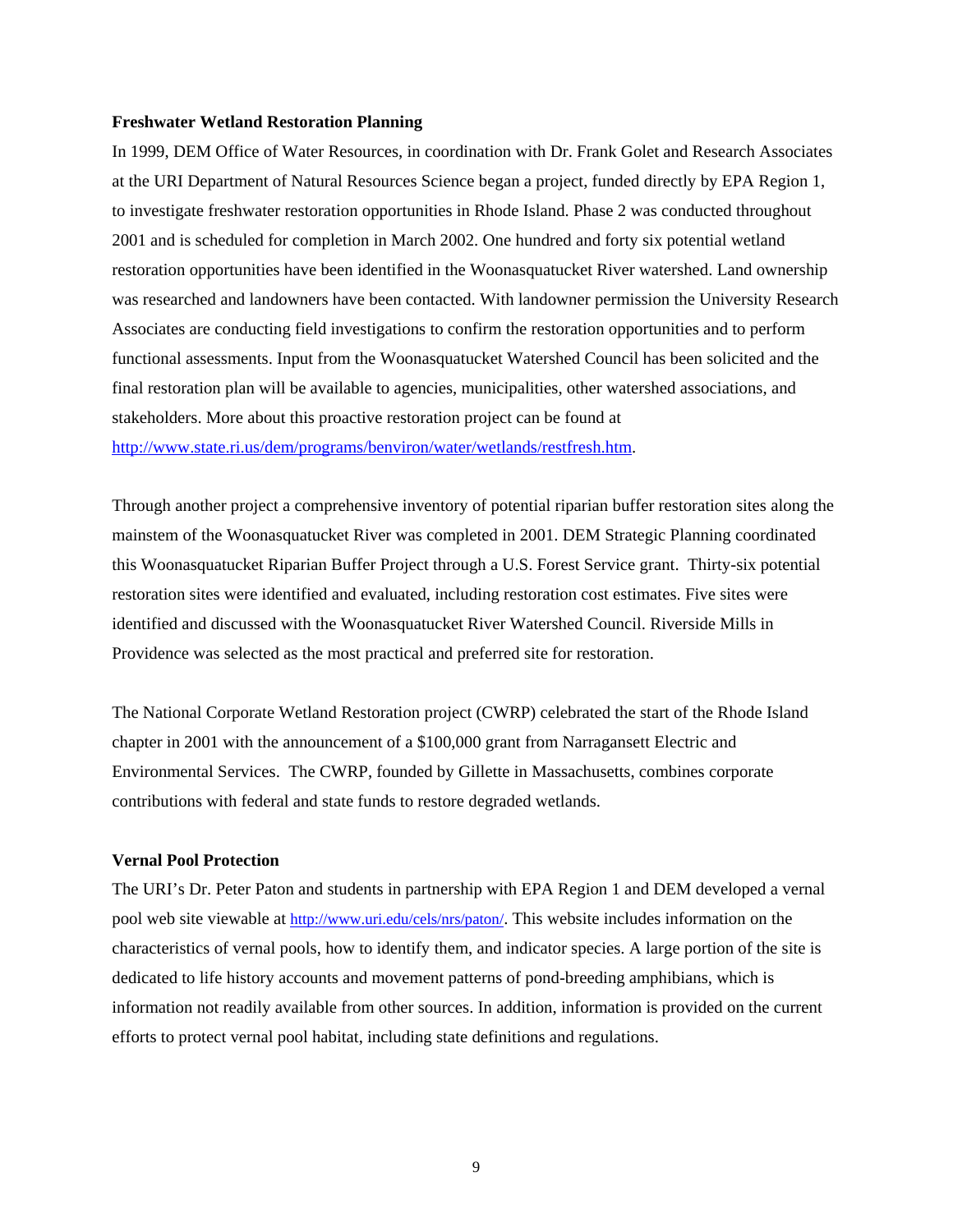#### **Freshwater Wetland Restoration Planning**

In 1999, DEM Office of Water Resources, in coordination with Dr. Frank Golet and Research Associates at the URI Department of Natural Resources Science began a project, funded directly by EPA Region 1, to investigate freshwater restoration opportunities in Rhode Island. Phase 2 was conducted throughout 2001 and is scheduled for completion in March 2002. One hundred and forty six potential wetland restoration opportunities have been identified in the Woonasquatucket River watershed. Land ownership was researched and landowners have been contacted. With landowner permission the University Research Associates are conducting field investigations to confirm the restoration opportunities and to perform functional assessments. Input from the Woonasquatucket Watershed Council has been solicited and the final restoration plan will be available to agencies, municipalities, other watershed associations, and stakeholders. More about this proactive restoration project can be found at [http://www.state.ri.us/dem/programs/benviron/water/wetlands/restfresh.htm.](http://www.state.ri.us/dem/programs/benviron/water/wetlands/index.htm)

Through another project a comprehensive inventory of potential riparian buffer restoration sites along the mainstem of the Woonasquatucket River was completed in 2001. DEM Strategic Planning coordinated this Woonasquatucket Riparian Buffer Project through a U.S. Forest Service grant. Thirty-six potential restoration sites were identified and evaluated, including restoration cost estimates. Five sites were identified and discussed with the Woonasquatucket River Watershed Council. Riverside Mills in Providence was selected as the most practical and preferred site for restoration.

The National Corporate Wetland Restoration project (CWRP) celebrated the start of the Rhode Island chapter in 2001 with the announcement of a \$100,000 grant from Narragansett Electric and Environmental Services. The CWRP, founded by Gillette in Massachusetts, combines corporate contributions with federal and state funds to restore degraded wetlands.

#### **Vernal Pool Protection**

The URI's Dr. Peter Paton and students in partnership with EPA Region 1 and DEM developed a vernal pool web site viewable at [http://www.uri.edu/cels/nrs/paton/.](http://www.uri.edu/cels/nrs/paton/) This website includes information on the characteristics of vernal pools, how to identify them, and indicator species. A large portion of the site is dedicated to life history accounts and movement patterns of pond-breeding amphibians, which is information not readily available from other sources. In addition, information is provided on the current efforts to protect vernal pool habitat, including state definitions and regulations.

9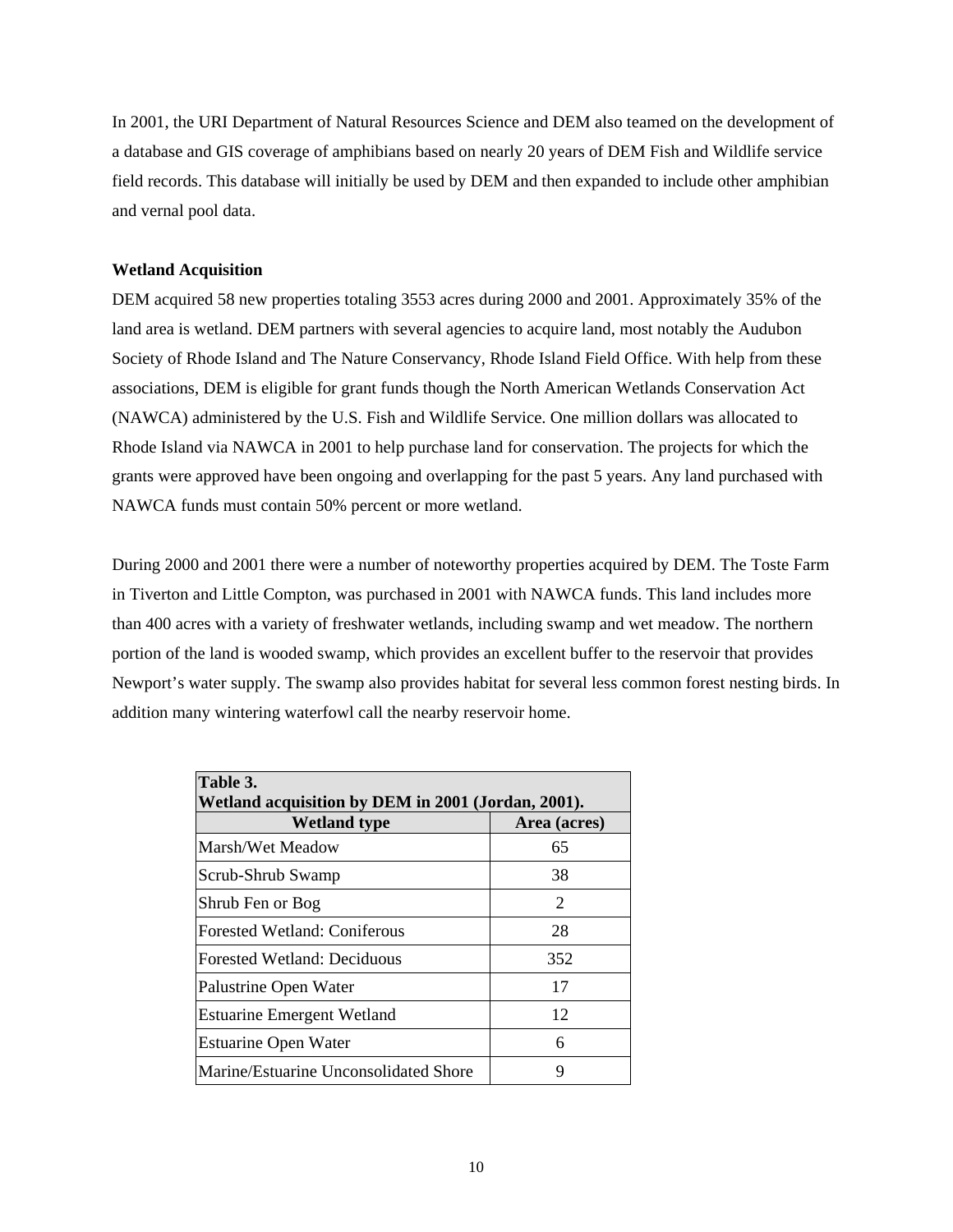In 2001, the URI Department of Natural Resources Science and DEM also teamed on the development of a database and GIS coverage of amphibians based on nearly 20 years of DEM Fish and Wildlife service field records. This database will initially be used by DEM and then expanded to include other amphibian and vernal pool data.

#### **Wetland Acquisition**

DEM acquired 58 new properties totaling 3553 acres during 2000 and 2001. Approximately 35% of the land area is wetland. DEM partners with several agencies to acquire land, most notably the Audubon Society of Rhode Island and The Nature Conservancy, Rhode Island Field Office. With help from these associations, DEM is eligible for grant funds though the North American Wetlands Conservation Act (NAWCA) administered by the U.S. Fish and Wildlife Service. One million dollars was allocated to Rhode Island via NAWCA in 2001 to help purchase land for conservation. The projects for which the grants were approved have been ongoing and overlapping for the past 5 years. Any land purchased with NAWCA funds must contain 50% percent or more wetland.

During 2000 and 2001 there were a number of noteworthy properties acquired by DEM. The Toste Farm in Tiverton and Little Compton, was purchased in 2001 with NAWCA funds. This land includes more than 400 acres with a variety of freshwater wetlands, including swamp and wet meadow. The northern portion of the land is wooded swamp, which provides an excellent buffer to the reservoir that provides Newport's water supply. The swamp also provides habitat for several less common forest nesting birds. In addition many wintering waterfowl call the nearby reservoir home.

| Table 3.<br>Wetland acquisition by DEM in 2001 (Jordan, 2001). |              |  |  |
|----------------------------------------------------------------|--------------|--|--|
| <b>Wetland type</b>                                            | Area (acres) |  |  |
| Marsh/Wet Meadow                                               | 65           |  |  |
| Scrub-Shrub Swamp                                              | 38           |  |  |
| Shrub Fen or Bog                                               | 2            |  |  |
| <b>Forested Wetland: Coniferous</b>                            | 28           |  |  |
| <b>Forested Wetland: Deciduous</b>                             | 352          |  |  |
| Palustrine Open Water                                          | 17           |  |  |
| <b>Estuarine Emergent Wetland</b>                              | 12           |  |  |
| <b>Estuarine Open Water</b>                                    | 6            |  |  |
| Marine/Estuarine Unconsolidated Shore                          | 9            |  |  |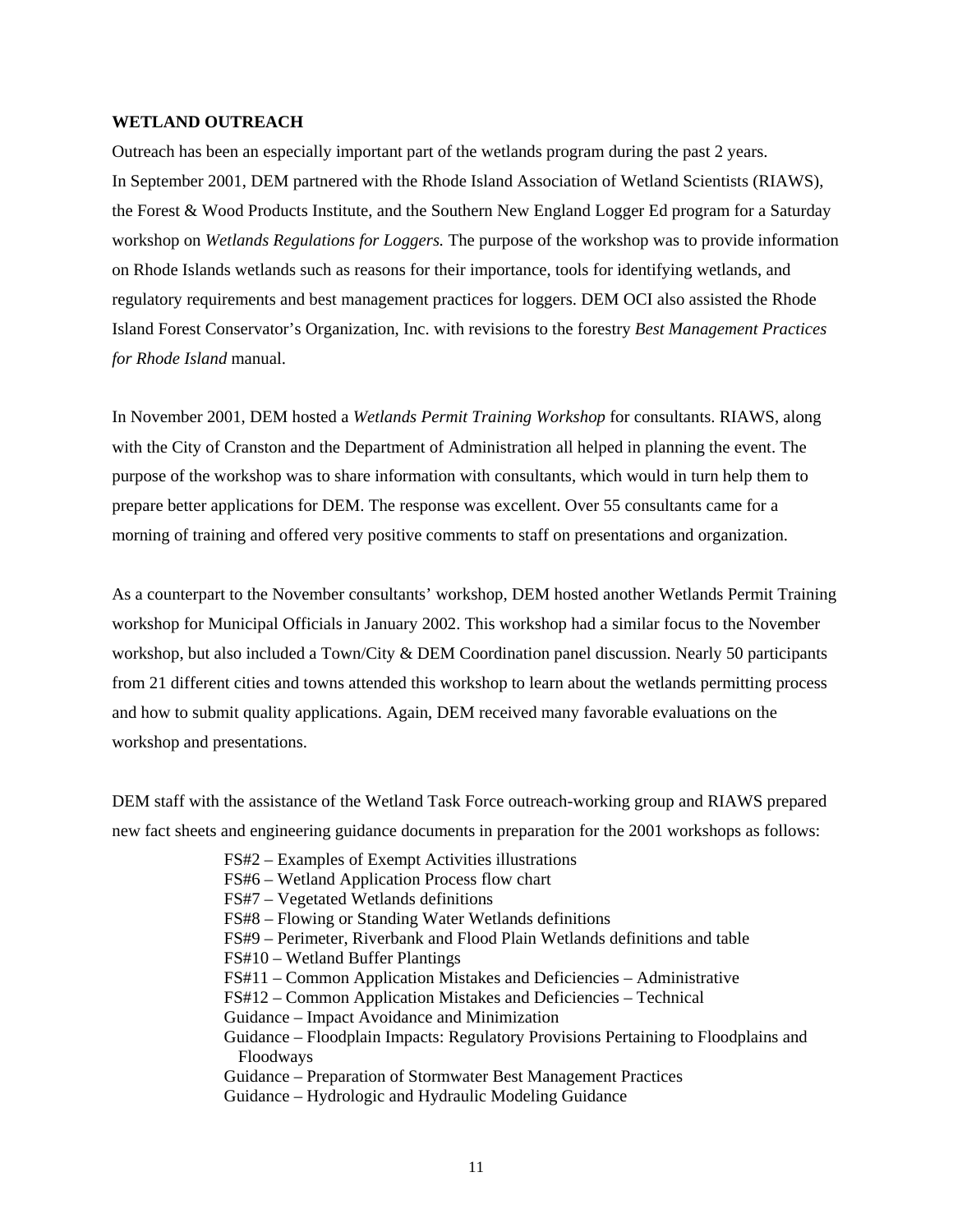#### **WETLAND OUTREACH**

Outreach has been an especially important part of the wetlands program during the past 2 years. In September 2001, DEM partnered with the Rhode Island Association of Wetland Scientists (RIAWS), the Forest & Wood Products Institute, and the Southern New England Logger Ed program for a Saturday workshop on *Wetlands Regulations for Loggers.* The purpose of the workshop was to provide information on Rhode Islands wetlands such as reasons for their importance, tools for identifying wetlands, and regulatory requirements and best management practices for loggers. DEM OCI also assisted the Rhode Island Forest Conservator's Organization, Inc. with revisions to the forestry *Best Management Practices for Rhode Island* manual.

In November 2001, DEM hosted a *Wetlands Permit Training Workshop* for consultants. RIAWS, along with the City of Cranston and the Department of Administration all helped in planning the event. The purpose of the workshop was to share information with consultants, which would in turn help them to prepare better applications for DEM. The response was excellent. Over 55 consultants came for a morning of training and offered very positive comments to staff on presentations and organization.

As a counterpart to the November consultants' workshop, DEM hosted another Wetlands Permit Training workshop for Municipal Officials in January 2002. This workshop had a similar focus to the November workshop, but also included a Town/City & DEM Coordination panel discussion. Nearly 50 participants from 21 different cities and towns attended this workshop to learn about the wetlands permitting process and how to submit quality applications. Again, DEM received many favorable evaluations on the workshop and presentations.

DEM staff with the assistance of the Wetland Task Force outreach-working group and RIAWS prepared new fact sheets and engineering guidance documents in preparation for the 2001 workshops as follows:

- FS#2 Examples of Exempt Activities illustrations
- FS#6 Wetland Application Process flow chart
- FS#7 Vegetated Wetlands definitions
- FS#8 Flowing or Standing Water Wetlands definitions
- FS#9 Perimeter, Riverbank and Flood Plain Wetlands definitions and table
- FS#10 Wetland Buffer Plantings
- FS#11 Common Application Mistakes and Deficiencies Administrative
- FS#12 Common Application Mistakes and Deficiencies Technical
- Guidance Impact Avoidance and Minimization
- Guidance Floodplain Impacts: Regulatory Provisions Pertaining to Floodplains and Floodways
- Guidance Preparation of Stormwater Best Management Practices
- Guidance Hydrologic and Hydraulic Modeling Guidance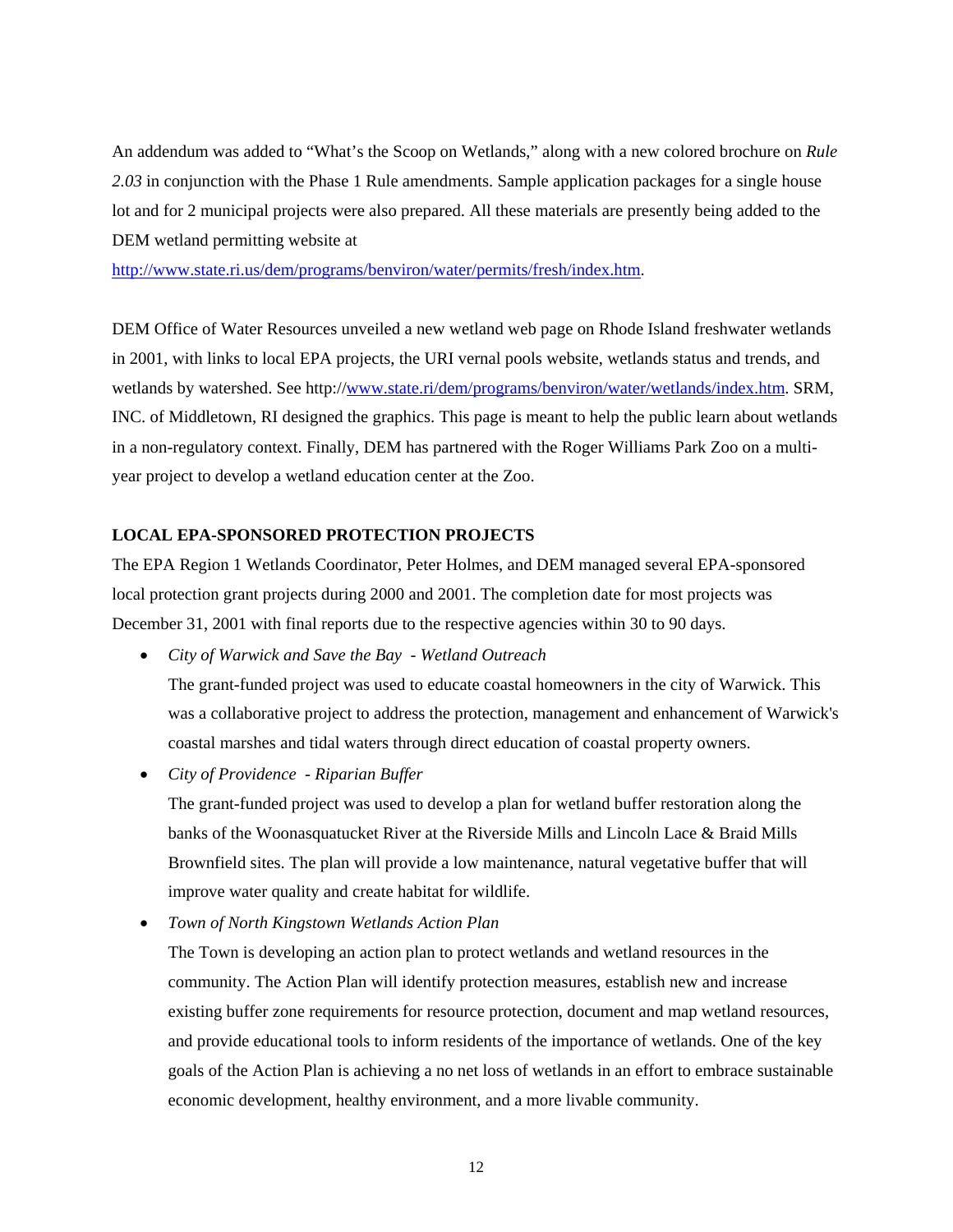An addendum was added to "What's the Scoop on Wetlands," along with a new colored brochure on *Rule 2.03* in conjunction with the Phase 1 Rule amendments. Sample application packages for a single house lot and for 2 municipal projects were also prepared. All these materials are presently being added to the DEM wetland permitting website at

[http://www.state.ri.us/dem/programs/benviron/water/permits/fresh/index.htm.](http://www.state.ri.us/dem/programs/benviron/water/permits/fresh/index.htm)

DEM Office of Water Resources unveiled a new wetland web page on Rhode Island freshwater wetlands in 2001, with links to local EPA projects, the URI vernal pools website, wetlands status and trends, and wetlands by watershed. See http:/[/www.state.ri/dem/programs/benviron/water/wetlands/index.htm.](http://www.state.ri/dem/programs/benviron/water/wetlands/index.htm) SRM, INC. of Middletown, RI designed the graphics. This page is meant to help the public learn about wetlands in a non-regulatory context. Finally, DEM has partnered with the Roger Williams Park Zoo on a multiyear project to develop a wetland education center at the Zoo.

#### **LOCAL EPA-SPONSORED PROTECTION PROJECTS**

The EPA Region 1 Wetlands Coordinator, Peter Holmes, and DEM managed several EPA-sponsored local protection grant projects during 2000 and 2001. The completion date for most projects was December 31, 2001 with final reports due to the respective agencies within 30 to 90 days.

• *City of Warwick and Save the Bay - Wetland Outreach*

The grant-funded project was used to educate coastal homeowners in the city of Warwick. This was a collaborative project to address the protection, management and enhancement of Warwick's coastal marshes and tidal waters through direct education of coastal property owners.

• *City of Providence - Riparian Buffer* 

The grant-funded project was used to develop a plan for wetland buffer restoration along the banks of the Woonasquatucket River at the Riverside Mills and Lincoln Lace & Braid Mills Brownfield sites. The plan will provide a low maintenance, natural vegetative buffer that will improve water quality and create habitat for wildlife.

• *Town of North Kingstown Wetlands Action Plan*

The Town is developing an action plan to protect wetlands and wetland resources in the community. The Action Plan will identify protection measures, establish new and increase existing buffer zone requirements for resource protection, document and map wetland resources, and provide educational tools to inform residents of the importance of wetlands. One of the key goals of the Action Plan is achieving a no net loss of wetlands in an effort to embrace sustainable economic development, healthy environment, and a more livable community.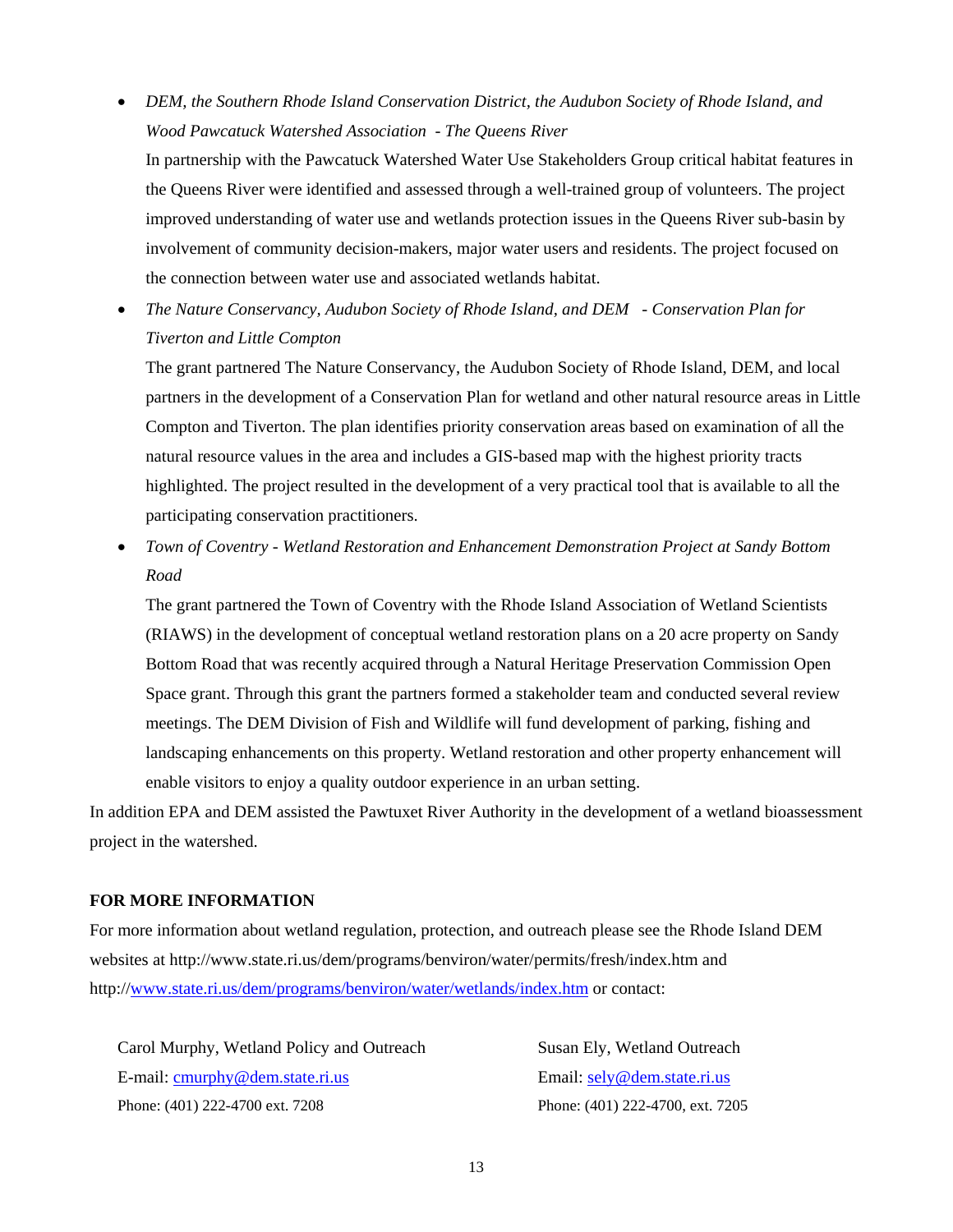• *DEM, the Southern Rhode Island Conservation District, the Audubon Society of Rhode Island, and Wood Pawcatuck Watershed Association - The Queens River* 

In partnership with the Pawcatuck Watershed Water Use Stakeholders Group critical habitat features in the Queens River were identified and assessed through a well-trained group of volunteers. The project improved understanding of water use and wetlands protection issues in the Queens River sub-basin by involvement of community decision-makers, major water users and residents. The project focused on the connection between water use and associated wetlands habitat.

• *The Nature Conservancy, Audubon Society of Rhode Island, and DEM - Conservation Plan for Tiverton and Little Compton*

The grant partnered The Nature Conservancy, the Audubon Society of Rhode Island, DEM, and local partners in the development of a Conservation Plan for wetland and other natural resource areas in Little Compton and Tiverton. The plan identifies priority conservation areas based on examination of all the natural resource values in the area and includes a GIS-based map with the highest priority tracts highlighted. The project resulted in the development of a very practical tool that is available to all the participating conservation practitioners.

• *Town of Coventry - Wetland Restoration and Enhancement Demonstration Project at Sandy Bottom Road*

The grant partnered the Town of Coventry with the Rhode Island Association of Wetland Scientists (RIAWS) in the development of conceptual wetland restoration plans on a 20 acre property on Sandy Bottom Road that was recently acquired through a Natural Heritage Preservation Commission Open Space grant. Through this grant the partners formed a stakeholder team and conducted several review meetings. The DEM Division of Fish and Wildlife will fund development of parking, fishing and landscaping enhancements on this property. Wetland restoration and other property enhancement will enable visitors to enjoy a quality outdoor experience in an urban setting.

In addition EPA and DEM assisted the Pawtuxet River Authority in the development of a wetland bioassessment project in the watershed.

#### **FOR MORE INFORMATION**

For more information about wetland regulation, protection, and outreach please see the Rhode Island DEM websites at http://www.state.ri.us/dem/programs/benviron/water/permits/fresh/index.htm and http:/[/www.state.ri.us/dem/programs/benviron/water/wetlands/index.htm](http://www.state.ri.us/dem/programs/benviron/water/wetlands/index.htm) or contact:

Carol Murphy, Wetland Policy and Outreach Susan Ely, Wetland Outreach E-mail: [cmurphy@dem.state.ri.us](mailto:cmurphy@dem.state.ri.us) Email: [sely@dem.state.ri.us](mailto:sely@dem.state.ri.us) Phone: (401) 222-4700 ext. 7208 Phone: (401) 222-4700, ext. 7205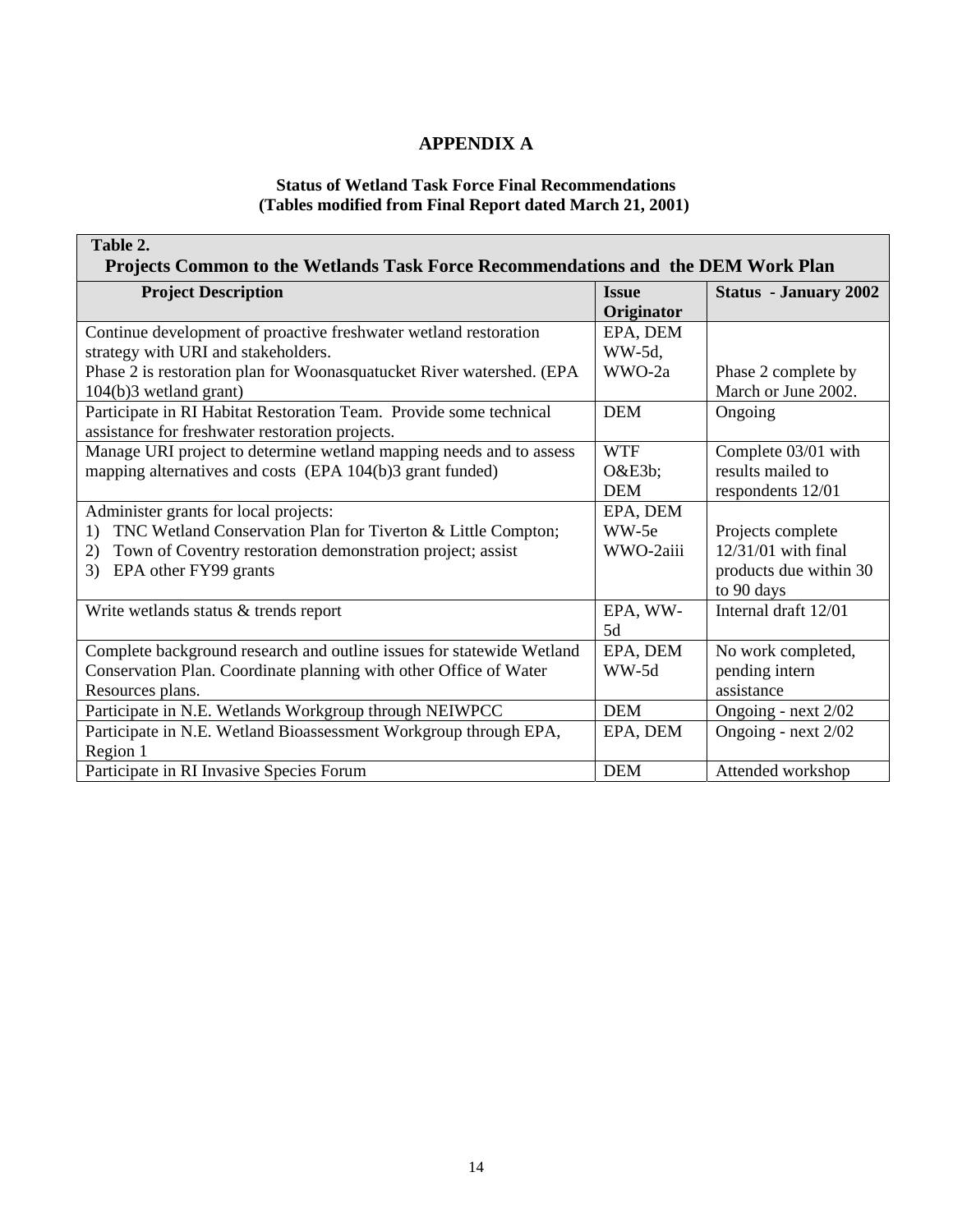### **APPENDIX A**

#### **Status of Wetland Task Force Final Recommendations (Tables modified from Final Report dated March 21, 2001)**

| Table 2.                                                                         |              |                              |  |
|----------------------------------------------------------------------------------|--------------|------------------------------|--|
| Projects Common to the Wetlands Task Force Recommendations and the DEM Work Plan |              |                              |  |
| <b>Project Description</b>                                                       | <b>Issue</b> | <b>Status</b> - January 2002 |  |
|                                                                                  | Originator   |                              |  |
| Continue development of proactive freshwater wetland restoration                 | EPA, DEM     |                              |  |
| strategy with URI and stakeholders.                                              | WW-5d,       |                              |  |
| Phase 2 is restoration plan for Woonasquatucket River watershed. (EPA            | WWO-2a       | Phase 2 complete by          |  |
| 104(b)3 wetland grant)                                                           |              | March or June 2002.          |  |
| Participate in RI Habitat Restoration Team. Provide some technical               | <b>DEM</b>   | Ongoing                      |  |
| assistance for freshwater restoration projects.                                  |              |                              |  |
| Manage URI project to determine wetland mapping needs and to assess              | <b>WTF</b>   | Complete 03/01 with          |  |
| mapping alternatives and costs (EPA 104(b)3 grant funded)                        | $O&E3b$ ;    | results mailed to            |  |
|                                                                                  | <b>DEM</b>   | respondents 12/01            |  |
| Administer grants for local projects:                                            | EPA, DEM     |                              |  |
| TNC Wetland Conservation Plan for Tiverton & Little Compton;<br>1)               | WW-5e        | Projects complete            |  |
| Town of Coventry restoration demonstration project; assist<br>2)                 | WWO-2aiii    | $12/31/01$ with final        |  |
| EPA other FY99 grants<br>3)                                                      |              | products due within 30       |  |
|                                                                                  |              | to 90 days                   |  |
| Write wetlands status & trends report                                            | EPA, WW-     | Internal draft 12/01         |  |
|                                                                                  | 5d           |                              |  |
| Complete background research and outline issues for statewide Wetland            | EPA, DEM     | No work completed,           |  |
| Conservation Plan. Coordinate planning with other Office of Water                | WW-5d        | pending intern               |  |
| Resources plans.                                                                 |              | assistance                   |  |
| Participate in N.E. Wetlands Workgroup through NEIWPCC                           | <b>DEM</b>   | Ongoing - next 2/02          |  |
| Participate in N.E. Wetland Bioassessment Workgroup through EPA,                 | EPA, DEM     | Ongoing - next 2/02          |  |
| Region 1                                                                         |              |                              |  |
| Participate in RI Invasive Species Forum                                         | <b>DEM</b>   | Attended workshop            |  |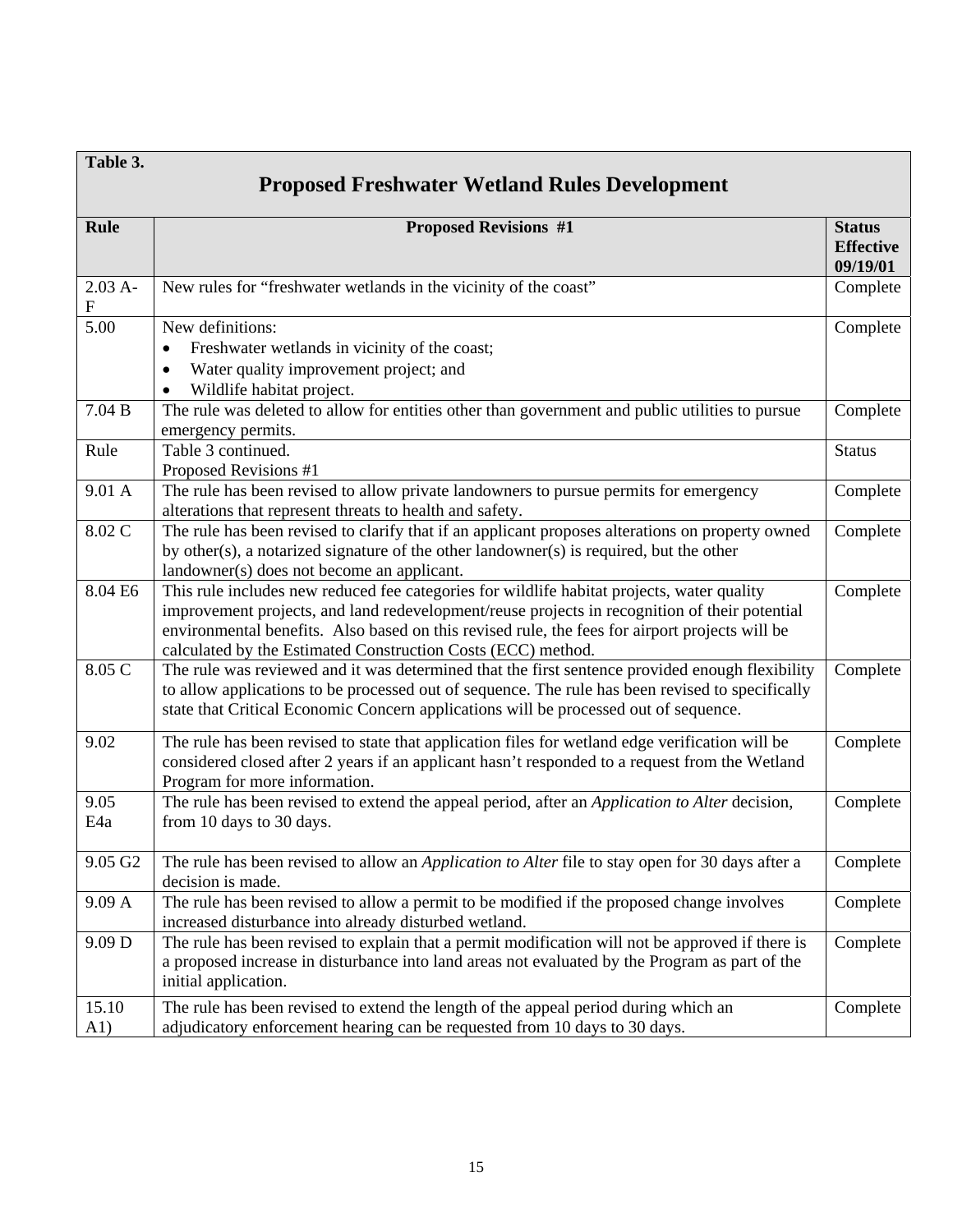| Table 3.               |                                                                                                                                                                                                     |                                               |
|------------------------|-----------------------------------------------------------------------------------------------------------------------------------------------------------------------------------------------------|-----------------------------------------------|
|                        | <b>Proposed Freshwater Wetland Rules Development</b>                                                                                                                                                |                                               |
| <b>Rule</b>            | <b>Proposed Revisions #1</b>                                                                                                                                                                        | <b>Status</b><br><b>Effective</b><br>09/19/01 |
| $2.03A -$<br>${\bf F}$ | New rules for "freshwater wetlands in the vicinity of the coast"                                                                                                                                    | Complete                                      |
| $\overline{5.00}$      | New definitions:                                                                                                                                                                                    | Complete                                      |
|                        | Freshwater wetlands in vicinity of the coast;<br>٠                                                                                                                                                  |                                               |
|                        | Water quality improvement project; and<br>$\bullet$                                                                                                                                                 |                                               |
|                        | Wildlife habitat project.<br>$\bullet$                                                                                                                                                              |                                               |
| 7.04 B                 | The rule was deleted to allow for entities other than government and public utilities to pursue                                                                                                     | Complete                                      |
|                        | emergency permits.                                                                                                                                                                                  |                                               |
| Rule                   | Table 3 continued.                                                                                                                                                                                  | <b>Status</b>                                 |
| 9.01 A                 | Proposed Revisions #1<br>The rule has been revised to allow private landowners to pursue permits for emergency                                                                                      | Complete                                      |
|                        | alterations that represent threats to health and safety.                                                                                                                                            |                                               |
| 8.02 C                 | The rule has been revised to clarify that if an applicant proposes alterations on property owned                                                                                                    | Complete                                      |
|                        | by other(s), a notarized signature of the other landowner(s) is required, but the other                                                                                                             |                                               |
|                        | landowner(s) does not become an applicant.                                                                                                                                                          |                                               |
| 8.04 E6                | This rule includes new reduced fee categories for wildlife habitat projects, water quality                                                                                                          | Complete                                      |
|                        | improvement projects, and land redevelopment/reuse projects in recognition of their potential                                                                                                       |                                               |
|                        | environmental benefits. Also based on this revised rule, the fees for airport projects will be                                                                                                      |                                               |
| 8.05 C                 | calculated by the Estimated Construction Costs (ECC) method.                                                                                                                                        |                                               |
|                        | The rule was reviewed and it was determined that the first sentence provided enough flexibility<br>to allow applications to be processed out of sequence. The rule has been revised to specifically | Complete                                      |
|                        | state that Critical Economic Concern applications will be processed out of sequence.                                                                                                                |                                               |
|                        |                                                                                                                                                                                                     |                                               |
| 9.02                   | The rule has been revised to state that application files for wetland edge verification will be                                                                                                     | Complete                                      |
|                        | considered closed after 2 years if an applicant hasn't responded to a request from the Wetland                                                                                                      |                                               |
|                        | Program for more information.                                                                                                                                                                       |                                               |
| 9.05<br>E4a            | The rule has been revised to extend the appeal period, after an <i>Application to Alter</i> decision,<br>from 10 days to 30 days.                                                                   | Complete                                      |
|                        |                                                                                                                                                                                                     |                                               |
| 9.05 G2                | The rule has been revised to allow an <i>Application to Alter</i> file to stay open for 30 days after a                                                                                             | Complete                                      |
|                        | decision is made.                                                                                                                                                                                   |                                               |
| 9.09 A                 | The rule has been revised to allow a permit to be modified if the proposed change involves                                                                                                          | Complete                                      |
|                        | increased disturbance into already disturbed wetland.                                                                                                                                               |                                               |
| 9.09 D                 | The rule has been revised to explain that a permit modification will not be approved if there is                                                                                                    | Complete                                      |
|                        | a proposed increase in disturbance into land areas not evaluated by the Program as part of the                                                                                                      |                                               |
|                        | initial application.                                                                                                                                                                                |                                               |
| 15.10                  | The rule has been revised to extend the length of the appeal period during which an                                                                                                                 | Complete                                      |
| A1)                    | adjudicatory enforcement hearing can be requested from 10 days to 30 days.                                                                                                                          |                                               |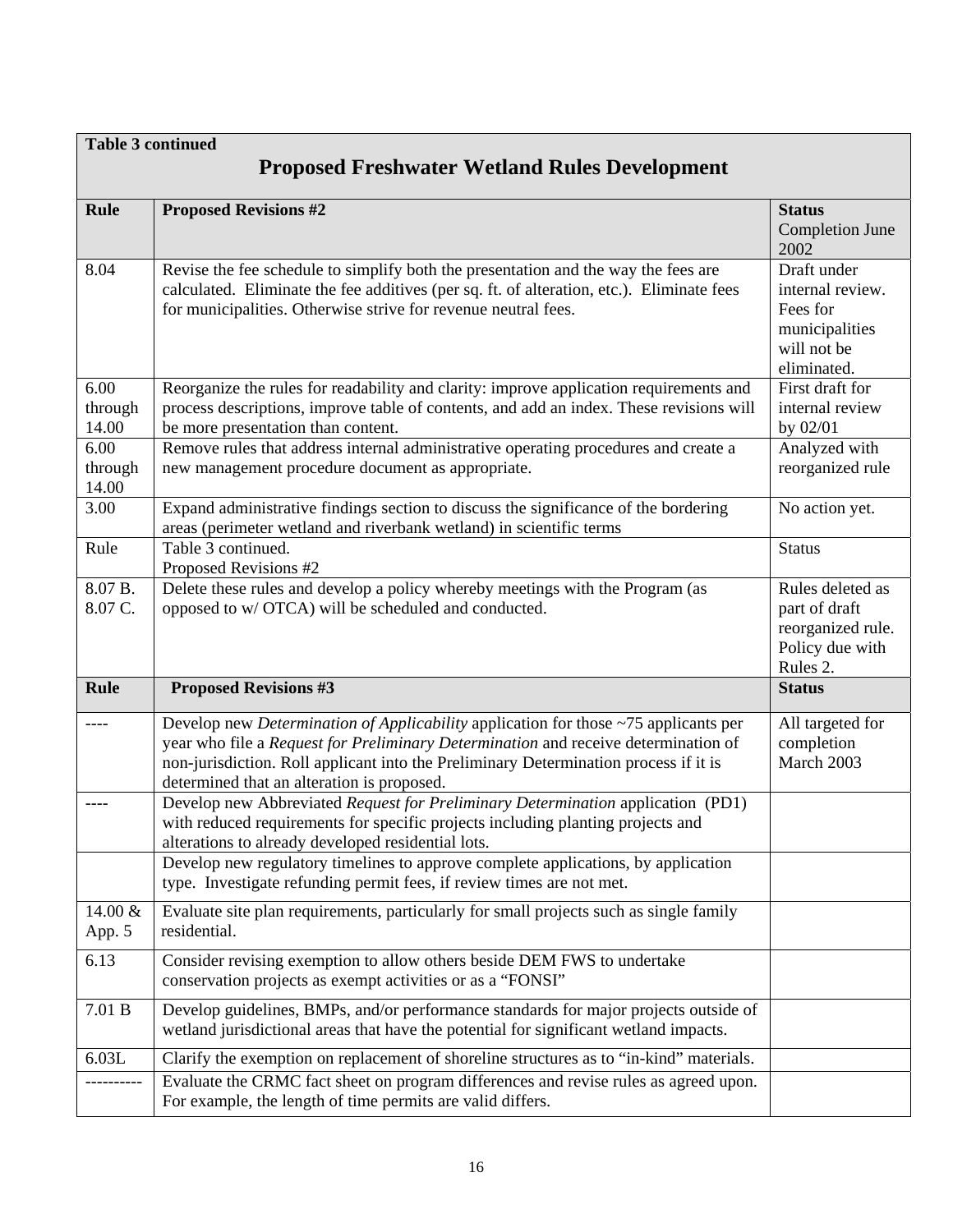| <b>Table 3 continued</b> |                                                                                                                                                                                                                                                                                                                              |                                                                                             |  |
|--------------------------|------------------------------------------------------------------------------------------------------------------------------------------------------------------------------------------------------------------------------------------------------------------------------------------------------------------------------|---------------------------------------------------------------------------------------------|--|
|                          | <b>Proposed Freshwater Wetland Rules Development</b>                                                                                                                                                                                                                                                                         |                                                                                             |  |
| <b>Rule</b>              | <b>Proposed Revisions #2</b>                                                                                                                                                                                                                                                                                                 | <b>Status</b><br><b>Completion June</b><br>2002                                             |  |
| 8.04                     | Revise the fee schedule to simplify both the presentation and the way the fees are<br>calculated. Eliminate the fee additives (per sq. ft. of alteration, etc.). Eliminate fees<br>for municipalities. Otherwise strive for revenue neutral fees.                                                                            | Draft under<br>internal review.<br>Fees for<br>municipalities<br>will not be<br>eliminated. |  |
| 6.00<br>through<br>14.00 | Reorganize the rules for readability and clarity: improve application requirements and<br>process descriptions, improve table of contents, and add an index. These revisions will<br>be more presentation than content.                                                                                                      | First draft for<br>internal review<br>by 02/01                                              |  |
| 6.00<br>through<br>14.00 | Remove rules that address internal administrative operating procedures and create a<br>new management procedure document as appropriate.                                                                                                                                                                                     | Analyzed with<br>reorganized rule                                                           |  |
| 3.00                     | Expand administrative findings section to discuss the significance of the bordering<br>areas (perimeter wetland and riverbank wetland) in scientific terms                                                                                                                                                                   | No action yet.                                                                              |  |
| Rule                     | Table 3 continued.<br>Proposed Revisions #2                                                                                                                                                                                                                                                                                  | <b>Status</b>                                                                               |  |
| 8.07 B.<br>8.07 C.       | Delete these rules and develop a policy whereby meetings with the Program (as<br>opposed to w/ OTCA) will be scheduled and conducted.                                                                                                                                                                                        | Rules deleted as<br>part of draft<br>reorganized rule.<br>Policy due with<br>Rules 2.       |  |
| <b>Rule</b>              | <b>Proposed Revisions #3</b>                                                                                                                                                                                                                                                                                                 | <b>Status</b>                                                                               |  |
|                          | Develop new <i>Determination of Applicability</i> application for those $\sim$ 75 applicants per<br>year who file a Request for Preliminary Determination and receive determination of<br>non-jurisdiction. Roll applicant into the Preliminary Determination process if it is<br>determined that an alteration is proposed. | All targeted for<br>completion<br>March 2003                                                |  |
|                          | Develop new Abbreviated Request for Preliminary Determination application (PD1)<br>with reduced requirements for specific projects including planting projects and<br>alterations to already developed residential lots.                                                                                                     |                                                                                             |  |
|                          | Develop new regulatory timelines to approve complete applications, by application<br>type. Investigate refunding permit fees, if review times are not met.                                                                                                                                                                   |                                                                                             |  |
| 14.00 &<br>App. 5        | Evaluate site plan requirements, particularly for small projects such as single family<br>residential.                                                                                                                                                                                                                       |                                                                                             |  |
| 6.13                     | Consider revising exemption to allow others beside DEM FWS to undertake<br>conservation projects as exempt activities or as a "FONSI"                                                                                                                                                                                        |                                                                                             |  |
| 7.01 B                   | Develop guidelines, BMPs, and/or performance standards for major projects outside of<br>wetland jurisdictional areas that have the potential for significant wetland impacts.                                                                                                                                                |                                                                                             |  |
| 6.03L                    | Clarify the exemption on replacement of shoreline structures as to "in-kind" materials.                                                                                                                                                                                                                                      |                                                                                             |  |
|                          | Evaluate the CRMC fact sheet on program differences and revise rules as agreed upon.<br>For example, the length of time permits are valid differs.                                                                                                                                                                           |                                                                                             |  |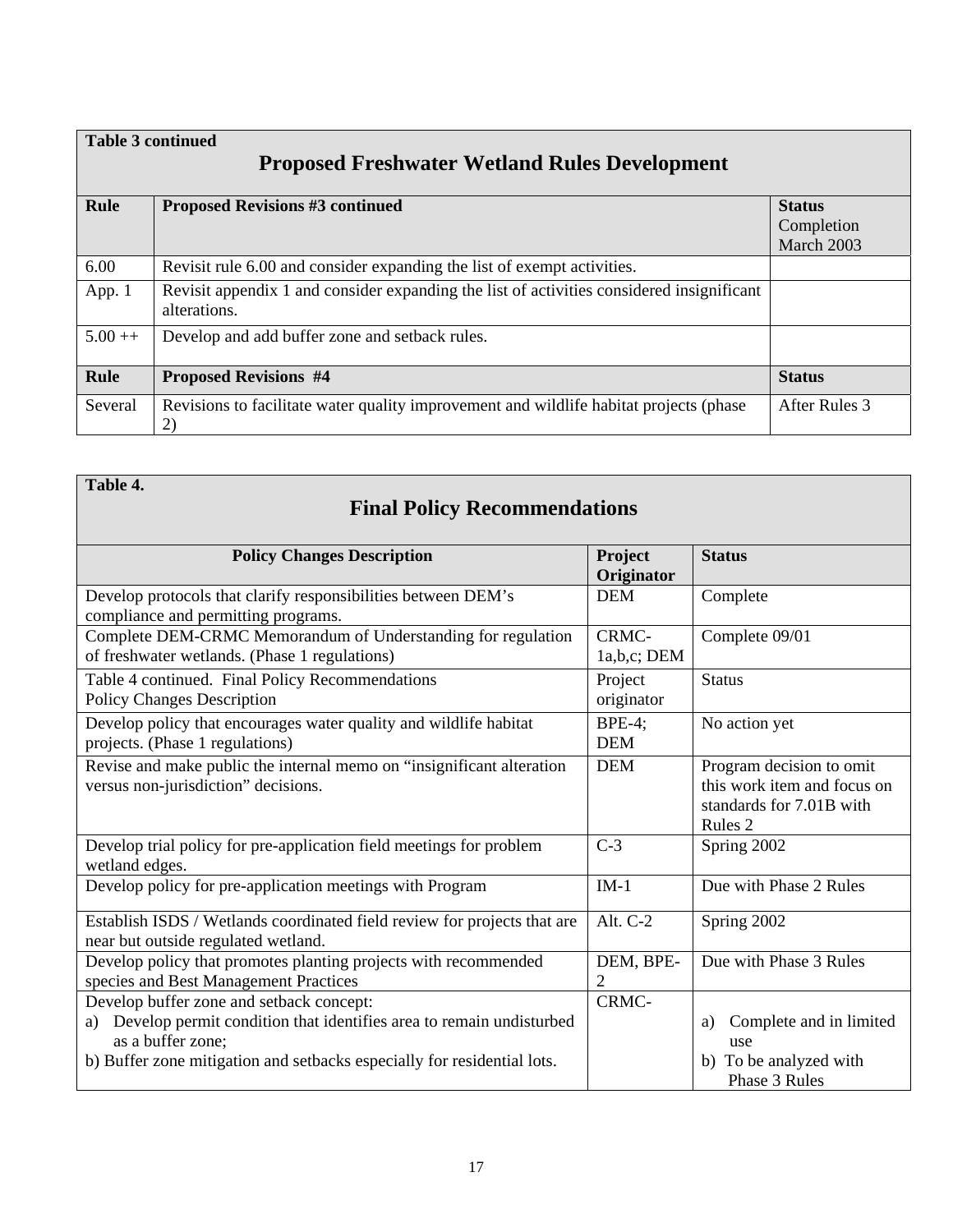|                                                      | <b>Table 3 continued</b>                                                                                  |               |  |  |
|------------------------------------------------------|-----------------------------------------------------------------------------------------------------------|---------------|--|--|
| <b>Proposed Freshwater Wetland Rules Development</b> |                                                                                                           |               |  |  |
| <b>Rule</b>                                          | <b>Proposed Revisions #3 continued</b>                                                                    | <b>Status</b> |  |  |
|                                                      |                                                                                                           | Completion    |  |  |
|                                                      |                                                                                                           | March 2003    |  |  |
| 6.00                                                 | Revisit rule 6.00 and consider expanding the list of exempt activities.                                   |               |  |  |
| App. 1                                               | Revisit appendix 1 and consider expanding the list of activities considered insignificant<br>alterations. |               |  |  |
| $5.00++$                                             | Develop and add buffer zone and setback rules.                                                            |               |  |  |
| Rule                                                 | <b>Proposed Revisions #4</b>                                                                              | <b>Status</b> |  |  |
| Several                                              | Revisions to facilitate water quality improvement and wildlife habitat projects (phase<br>2)              | After Rules 3 |  |  |

| Table 4. |  |
|----------|--|
|----------|--|

# **Final Policy Recommendations**

| <b>Policy Changes Description</b>                                                                                                                                                                                  | Project<br>Originator       | <b>Status</b>                                                                                  |
|--------------------------------------------------------------------------------------------------------------------------------------------------------------------------------------------------------------------|-----------------------------|------------------------------------------------------------------------------------------------|
| Develop protocols that clarify responsibilities between DEM's<br>compliance and permitting programs.                                                                                                               | <b>DEM</b>                  | Complete                                                                                       |
| Complete DEM-CRMC Memorandum of Understanding for regulation<br>of freshwater wetlands. (Phase 1 regulations)                                                                                                      | CRMC-<br>1a,b,c; DEM        | Complete 09/01                                                                                 |
| Table 4 continued. Final Policy Recommendations<br><b>Policy Changes Description</b>                                                                                                                               | Project<br>originator       | <b>Status</b>                                                                                  |
| Develop policy that encourages water quality and wildlife habitat<br>projects. (Phase 1 regulations)                                                                                                               | $BPE-4;$<br><b>DEM</b>      | No action yet                                                                                  |
| Revise and make public the internal memo on "insignificant alteration<br>versus non-jurisdiction" decisions.                                                                                                       | <b>DEM</b>                  | Program decision to omit<br>this work item and focus on<br>standards for 7.01B with<br>Rules 2 |
| Develop trial policy for pre-application field meetings for problem<br>wetland edges.                                                                                                                              | $C-3$                       | Spring 2002                                                                                    |
| Develop policy for pre-application meetings with Program                                                                                                                                                           | $IM-1$                      | Due with Phase 2 Rules                                                                         |
| Establish ISDS / Wetlands coordinated field review for projects that are<br>near but outside regulated wetland.                                                                                                    | Alt. C-2                    | Spring 2002                                                                                    |
| Develop policy that promotes planting projects with recommended<br>species and Best Management Practices                                                                                                           | DEM, BPE-<br>$\overline{2}$ | Due with Phase 3 Rules                                                                         |
| Develop buffer zone and setback concept:<br>a) Develop permit condition that identifies area to remain undisturbed<br>as a buffer zone;<br>b) Buffer zone mitigation and setbacks especially for residential lots. | CRMC-                       | Complete and in limited<br>a)<br>use<br>b) To be analyzed with<br>Phase 3 Rules                |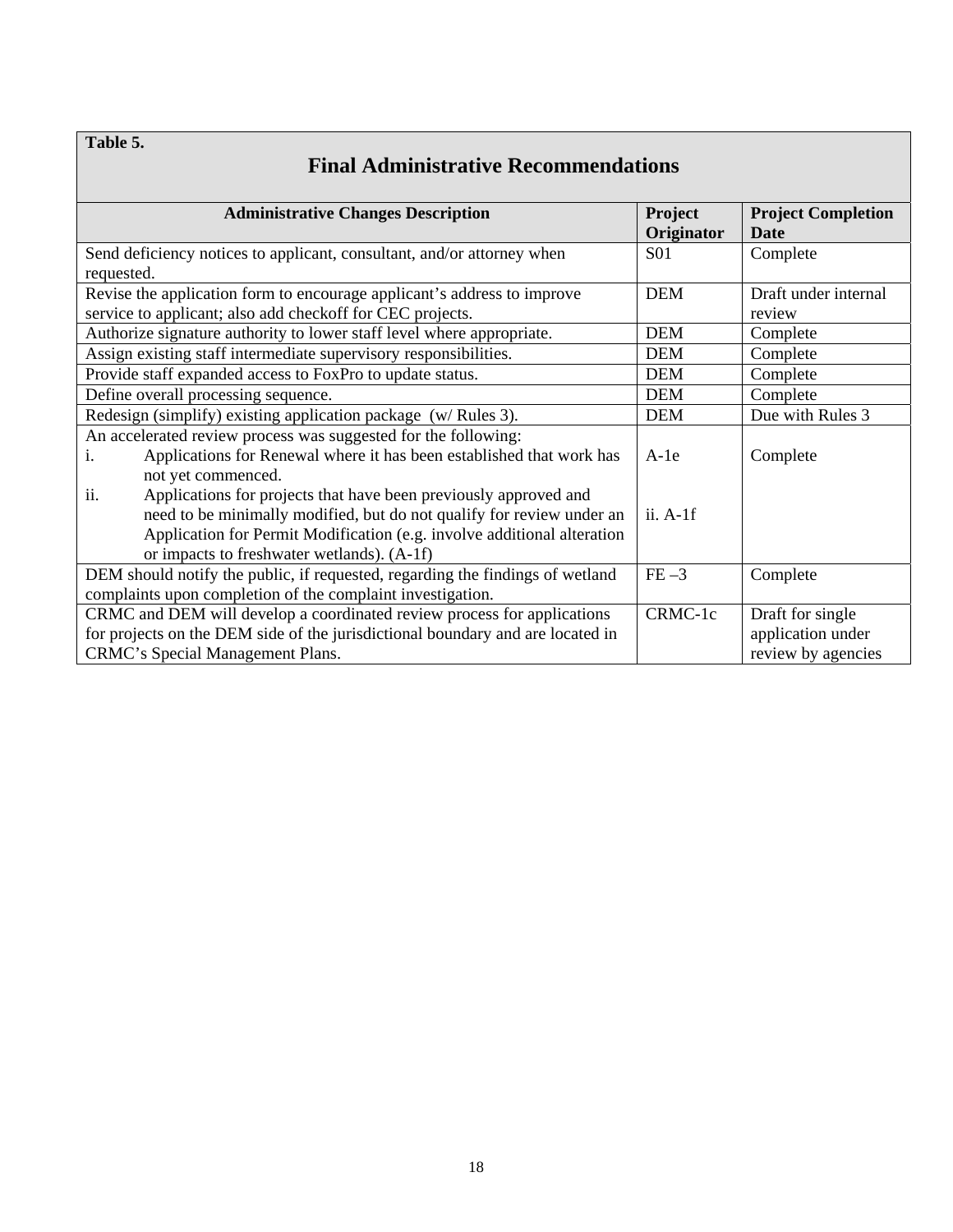### **Table 5.**

| <b>Final Administrative Recommendations</b>                                                                                                                                                                                                                               |                       |                                          |  |
|---------------------------------------------------------------------------------------------------------------------------------------------------------------------------------------------------------------------------------------------------------------------------|-----------------------|------------------------------------------|--|
| <b>Administrative Changes Description</b>                                                                                                                                                                                                                                 | Project<br>Originator | <b>Project Completion</b><br><b>Date</b> |  |
| Send deficiency notices to applicant, consultant, and/or attorney when<br>requested.                                                                                                                                                                                      | <b>S01</b>            | Complete                                 |  |
| Revise the application form to encourage applicant's address to improve<br>service to applicant; also add checkoff for CEC projects.                                                                                                                                      | <b>DEM</b>            | Draft under internal<br>review           |  |
| Authorize signature authority to lower staff level where appropriate.                                                                                                                                                                                                     | <b>DEM</b>            | Complete                                 |  |
| Assign existing staff intermediate supervisory responsibilities.                                                                                                                                                                                                          | <b>DEM</b>            | Complete                                 |  |
| Provide staff expanded access to FoxPro to update status.                                                                                                                                                                                                                 | <b>DEM</b>            | Complete                                 |  |
| Define overall processing sequence.                                                                                                                                                                                                                                       | <b>DEM</b>            | Complete                                 |  |
| Redesign (simplify) existing application package (w/Rules 3).                                                                                                                                                                                                             | <b>DEM</b>            | Due with Rules 3                         |  |
| An accelerated review process was suggested for the following:<br>Applications for Renewal where it has been established that work has<br>not yet commenced.                                                                                                              | $A-1e$                | Complete                                 |  |
| ii.<br>Applications for projects that have been previously approved and<br>need to be minimally modified, but do not qualify for review under an<br>Application for Permit Modification (e.g. involve additional alteration<br>or impacts to freshwater wetlands). (A-1f) | $ii. A-1f$            |                                          |  |
| DEM should notify the public, if requested, regarding the findings of wetland<br>complaints upon completion of the complaint investigation.                                                                                                                               | $FE-3$                | Complete                                 |  |
| CRMC and DEM will develop a coordinated review process for applications                                                                                                                                                                                                   | CRMC-1c               | Draft for single                         |  |
| for projects on the DEM side of the jurisdictional boundary and are located in                                                                                                                                                                                            |                       | application under                        |  |
| CRMC's Special Management Plans.                                                                                                                                                                                                                                          |                       | review by agencies                       |  |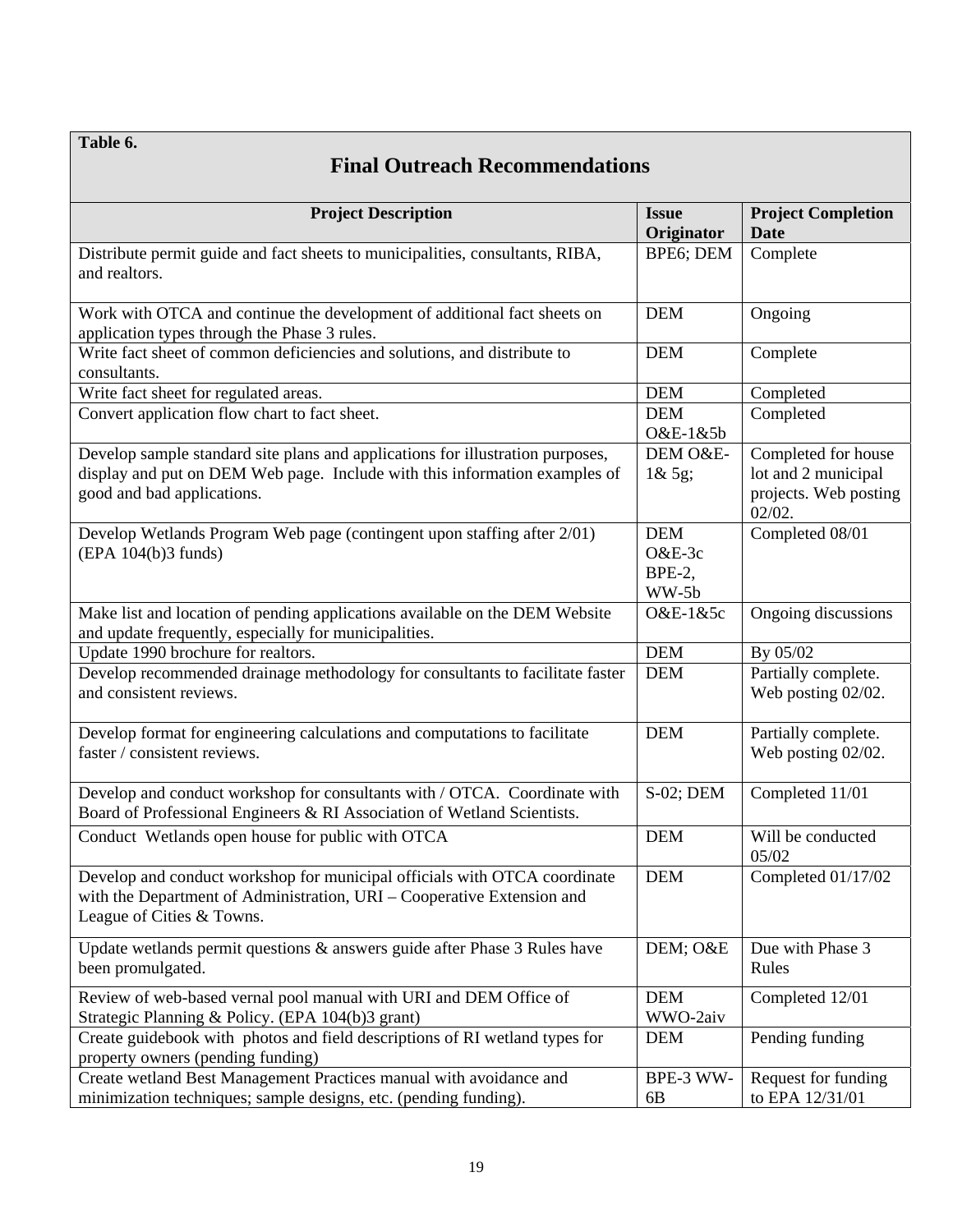**Table 6.**

## **Final Outreach Recommendations**

| <b>Project Description</b>                                                                                                                           | <b>Issue</b>  | <b>Project Completion</b>  |
|------------------------------------------------------------------------------------------------------------------------------------------------------|---------------|----------------------------|
|                                                                                                                                                      | Originator    | <b>Date</b>                |
| Distribute permit guide and fact sheets to municipalities, consultants, RIBA,                                                                        | BPE6; DEM     | Complete                   |
| and realtors.                                                                                                                                        |               |                            |
|                                                                                                                                                      |               |                            |
| Work with OTCA and continue the development of additional fact sheets on                                                                             | <b>DEM</b>    | Ongoing                    |
| application types through the Phase 3 rules.                                                                                                         |               |                            |
| Write fact sheet of common deficiencies and solutions, and distribute to<br>consultants.                                                             | <b>DEM</b>    | Complete                   |
| Write fact sheet for regulated areas.                                                                                                                | <b>DEM</b>    | Completed                  |
| Convert application flow chart to fact sheet.                                                                                                        | <b>DEM</b>    | Completed                  |
|                                                                                                                                                      | O&E-1&5b      |                            |
| Develop sample standard site plans and applications for illustration purposes,                                                                       | DEM O&E-      | Completed for house        |
| display and put on DEM Web page. Include with this information examples of                                                                           | $1\&\,5g;$    | lot and 2 municipal        |
| good and bad applications.                                                                                                                           |               | projects. Web posting      |
|                                                                                                                                                      |               | $02/02$ .                  |
| Develop Wetlands Program Web page (contingent upon staffing after 2/01)                                                                              | <b>DEM</b>    | Completed 08/01            |
| (EPA 104(b)3 funds)                                                                                                                                  | $O&E-3c$      |                            |
|                                                                                                                                                      | <b>BPE-2.</b> |                            |
|                                                                                                                                                      | WW-5b         |                            |
| Make list and location of pending applications available on the DEM Website                                                                          | O&E-1&5c      | Ongoing discussions        |
| and update frequently, especially for municipalities.                                                                                                |               |                            |
| Update 1990 brochure for realtors.                                                                                                                   | <b>DEM</b>    | By 05/02                   |
| Develop recommended drainage methodology for consultants to facilitate faster                                                                        | <b>DEM</b>    | Partially complete.        |
| and consistent reviews.                                                                                                                              |               | Web posting 02/02.         |
|                                                                                                                                                      |               |                            |
| Develop format for engineering calculations and computations to facilitate                                                                           | <b>DEM</b>    | Partially complete.        |
| faster / consistent reviews.                                                                                                                         |               | Web posting 02/02.         |
|                                                                                                                                                      |               |                            |
| Develop and conduct workshop for consultants with / OTCA. Coordinate with<br>Board of Professional Engineers & RI Association of Wetland Scientists. | S-02; DEM     | Completed 11/01            |
|                                                                                                                                                      |               |                            |
| Conduct Wetlands open house for public with OTCA                                                                                                     | <b>DEM</b>    | Will be conducted<br>05/02 |
| Develop and conduct workshop for municipal officials with OTCA coordinate                                                                            | <b>DEM</b>    | Completed 01/17/02         |
| with the Department of Administration, URI - Cooperative Extension and                                                                               |               |                            |
| League of Cities & Towns.                                                                                                                            |               |                            |
|                                                                                                                                                      |               |                            |
| Update wetlands permit questions & answers guide after Phase 3 Rules have                                                                            | DEM; O&E      | Due with Phase 3           |
| been promulgated.                                                                                                                                    |               | Rules                      |
| Review of web-based vernal pool manual with URI and DEM Office of                                                                                    | <b>DEM</b>    | Completed 12/01            |
| Strategic Planning & Policy. (EPA 104(b)3 grant)                                                                                                     | WWO-2aiv      |                            |
| Create guidebook with photos and field descriptions of RI wetland types for                                                                          | <b>DEM</b>    | Pending funding            |
| property owners (pending funding)                                                                                                                    |               |                            |
| Create wetland Best Management Practices manual with avoidance and                                                                                   | BPE-3 WW-     | Request for funding        |
| minimization techniques; sample designs, etc. (pending funding).                                                                                     | 6B            | to EPA 12/31/01            |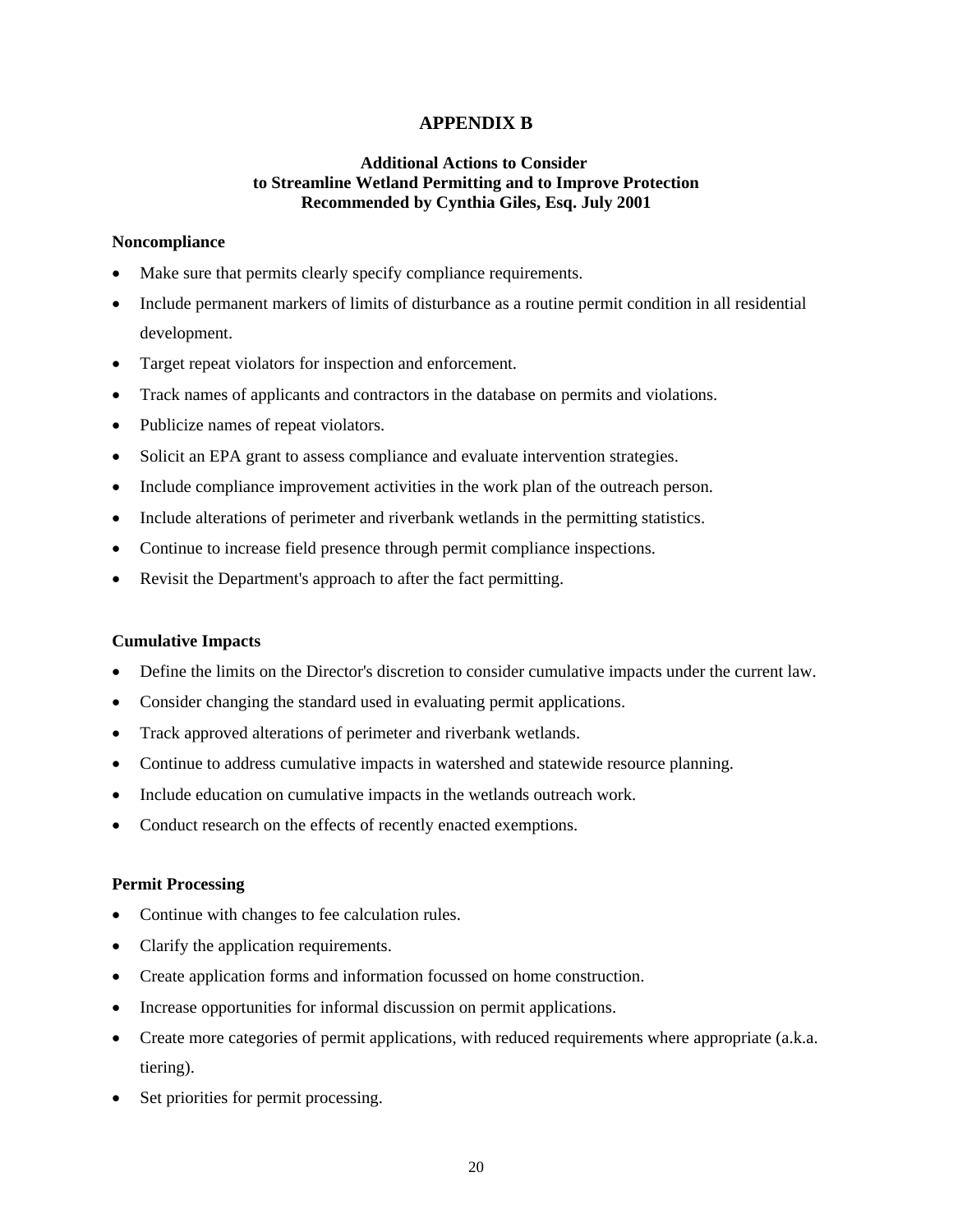#### **APPENDIX B**

#### **Additional Actions to Consider to Streamline Wetland Permitting and to Improve Protection Recommended by Cynthia Giles, Esq. July 2001**

#### **Noncompliance**

- Make sure that permits clearly specify compliance requirements.
- Include permanent markers of limits of disturbance as a routine permit condition in all residential development.
- Target repeat violators for inspection and enforcement.
- Track names of applicants and contractors in the database on permits and violations.
- Publicize names of repeat violators.
- Solicit an EPA grant to assess compliance and evaluate intervention strategies.
- Include compliance improvement activities in the work plan of the outreach person.
- Include alterations of perimeter and riverbank wetlands in the permitting statistics.
- Continue to increase field presence through permit compliance inspections.
- Revisit the Department's approach to after the fact permitting.

#### **Cumulative Impacts**

- Define the limits on the Director's discretion to consider cumulative impacts under the current law.
- Consider changing the standard used in evaluating permit applications.
- Track approved alterations of perimeter and riverbank wetlands.
- Continue to address cumulative impacts in watershed and statewide resource planning.
- Include education on cumulative impacts in the wetlands outreach work.
- Conduct research on the effects of recently enacted exemptions.

#### **Permit Processing**

- Continue with changes to fee calculation rules.
- Clarify the application requirements.
- Create application forms and information focussed on home construction.
- Increase opportunities for informal discussion on permit applications.
- Create more categories of permit applications, with reduced requirements where appropriate (a.k.a. tiering).
- Set priorities for permit processing.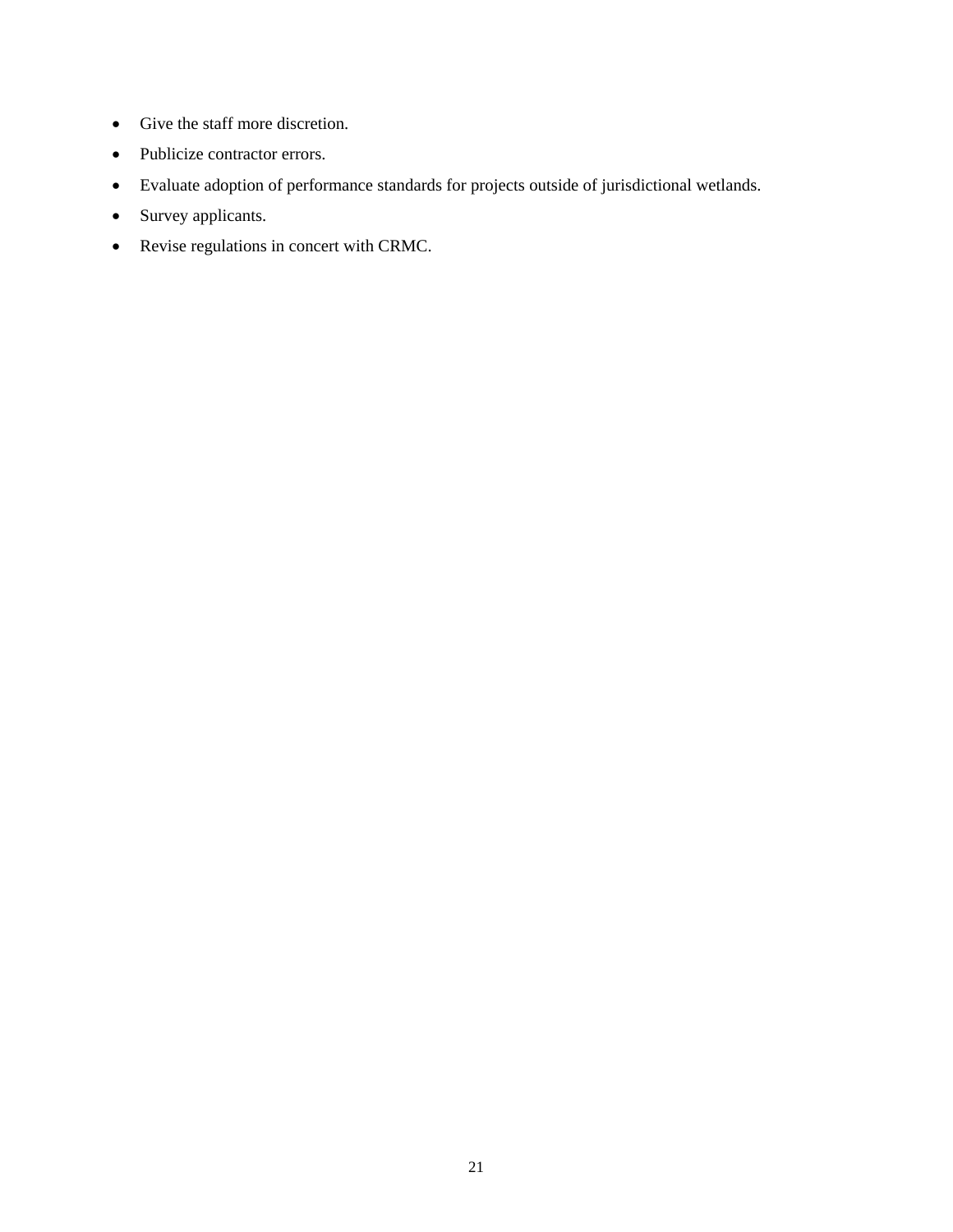- Give the staff more discretion.
- Publicize contractor errors.
- Evaluate adoption of performance standards for projects outside of jurisdictional wetlands.
- Survey applicants.
- Revise regulations in concert with CRMC.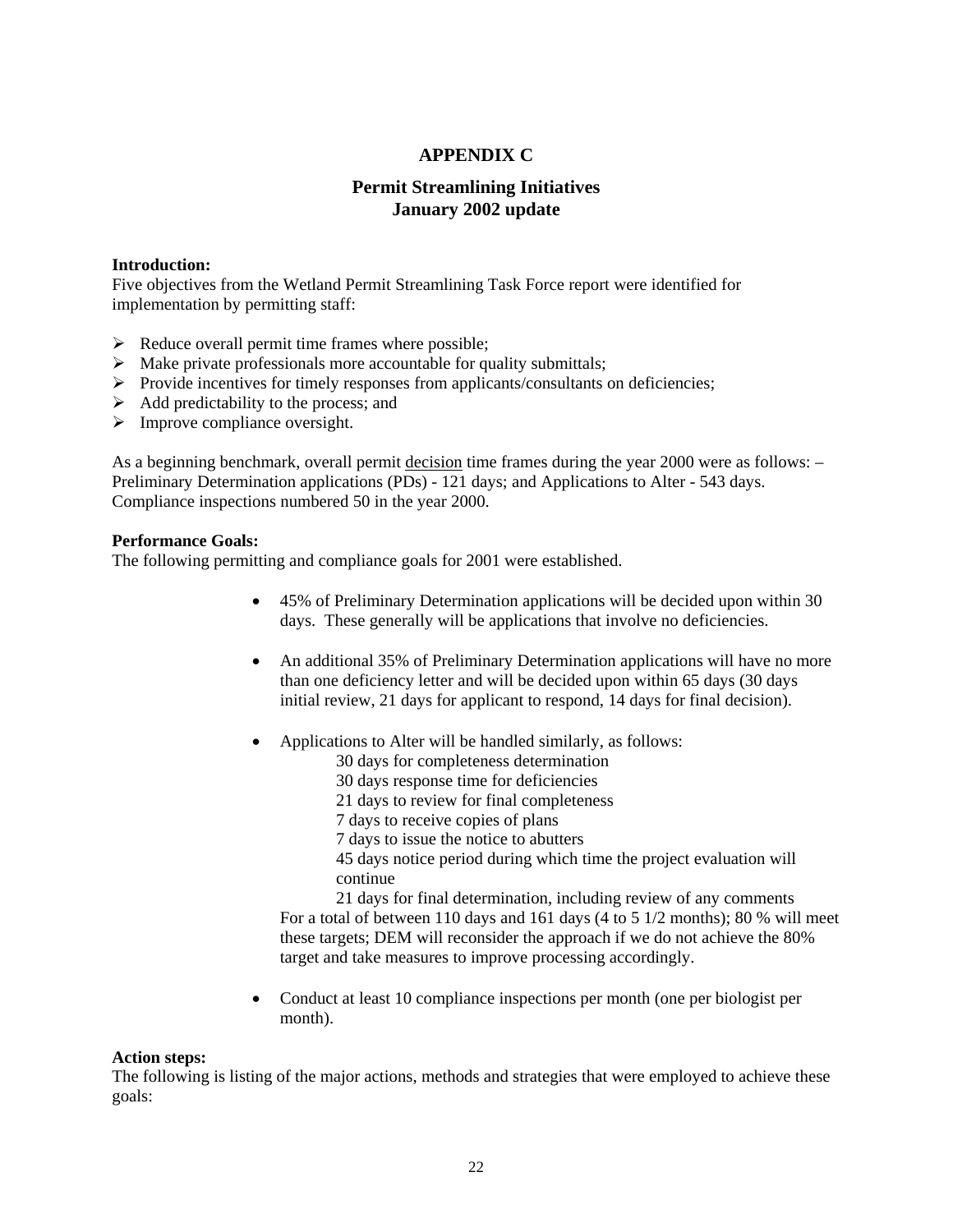#### **APPENDIX C**

#### **Permit Streamlining Initiatives January 2002 update**

#### **Introduction:**

Five objectives from the Wetland Permit Streamlining Task Force report were identified for implementation by permitting staff:

- $\triangleright$  Reduce overall permit time frames where possible;
- $\triangleright$  Make private professionals more accountable for quality submittals;
- $\triangleright$  Provide incentives for timely responses from applicants/consultants on deficiencies;
- $\triangleright$  Add predictability to the process; and
- $\triangleright$  Improve compliance oversight.

As a beginning benchmark, overall permit decision time frames during the year 2000 were as follows: -Preliminary Determination applications (PDs) - 121 days; and Applications to Alter - 543 days. Compliance inspections numbered 50 in the year 2000.

#### **Performance Goals:**

The following permitting and compliance goals for 2001 were established.

- 45% of Preliminary Determination applications will be decided upon within 30 days. These generally will be applications that involve no deficiencies.
- An additional 35% of Preliminary Determination applications will have no more than one deficiency letter and will be decided upon within 65 days (30 days initial review, 21 days for applicant to respond, 14 days for final decision).
- Applications to Alter will be handled similarly, as follows:
	- 30 days for completeness determination
		- 30 days response time for deficiencies
	- 21 days to review for final completeness
	- 7 days to receive copies of plans
	- 7 days to issue the notice to abutters

45 days notice period during which time the project evaluation will continue

21 days for final determination, including review of any comments For a total of between 110 days and 161 days (4 to 5 1/2 months); 80 % will meet these targets; DEM will reconsider the approach if we do not achieve the 80% target and take measures to improve processing accordingly.

• Conduct at least 10 compliance inspections per month (one per biologist per month).

#### **Action steps:**

The following is listing of the major actions, methods and strategies that were employed to achieve these goals: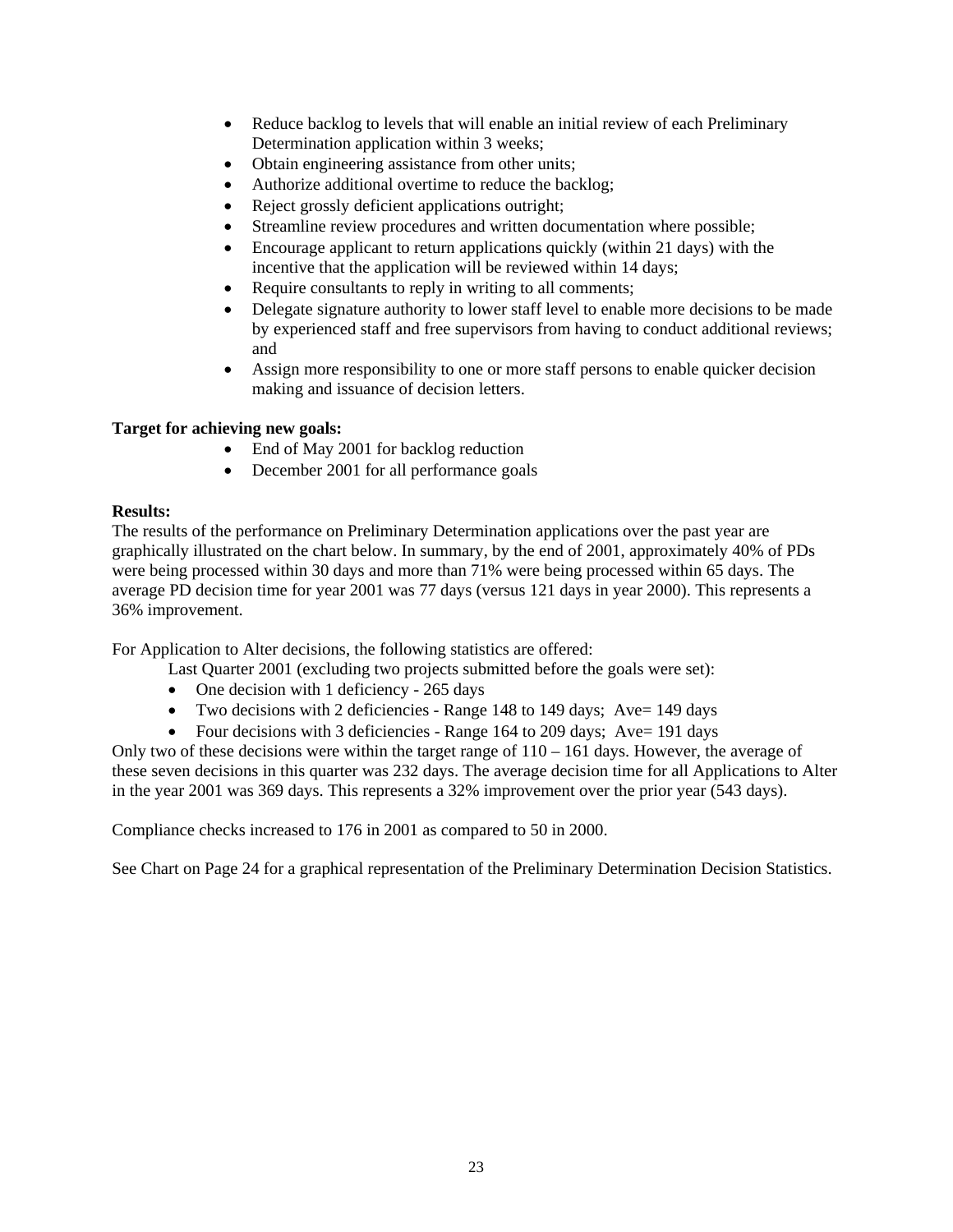- Reduce backlog to levels that will enable an initial review of each Preliminary Determination application within 3 weeks;
- Obtain engineering assistance from other units;
- Authorize additional overtime to reduce the backlog;
- Reject grossly deficient applications outright;
- Streamline review procedures and written documentation where possible;
- Encourage applicant to return applications quickly (within 21 days) with the incentive that the application will be reviewed within 14 days;
- Require consultants to reply in writing to all comments;
- Delegate signature authority to lower staff level to enable more decisions to be made by experienced staff and free supervisors from having to conduct additional reviews; and
- Assign more responsibility to one or more staff persons to enable quicker decision making and issuance of decision letters.

#### **Target for achieving new goals:**

- End of May 2001 for backlog reduction
- December 2001 for all performance goals

#### **Results:**

The results of the performance on Preliminary Determination applications over the past year are graphically illustrated on the chart below. In summary, by the end of 2001, approximately 40% of PDs were being processed within 30 days and more than 71% were being processed within 65 days. The average PD decision time for year 2001 was 77 days (versus 121 days in year 2000). This represents a 36% improvement.

For Application to Alter decisions, the following statistics are offered:

Last Quarter 2001 (excluding two projects submitted before the goals were set):

- One decision with 1 deficiency 265 days
- Two decisions with 2 deficiencies Range 148 to 149 days; Ave= 149 days
- Four decisions with 3 deficiencies Range 164 to 209 days; Ave= 191 days

Only two of these decisions were within the target range of  $110 - 161$  days. However, the average of these seven decisions in this quarter was 232 days. The average decision time for all Applications to Alter in the year 2001 was 369 days. This represents a 32% improvement over the prior year (543 days).

Compliance checks increased to 176 in 2001 as compared to 50 in 2000.

See Chart on Page 24 for a graphical representation of the Preliminary Determination Decision Statistics.